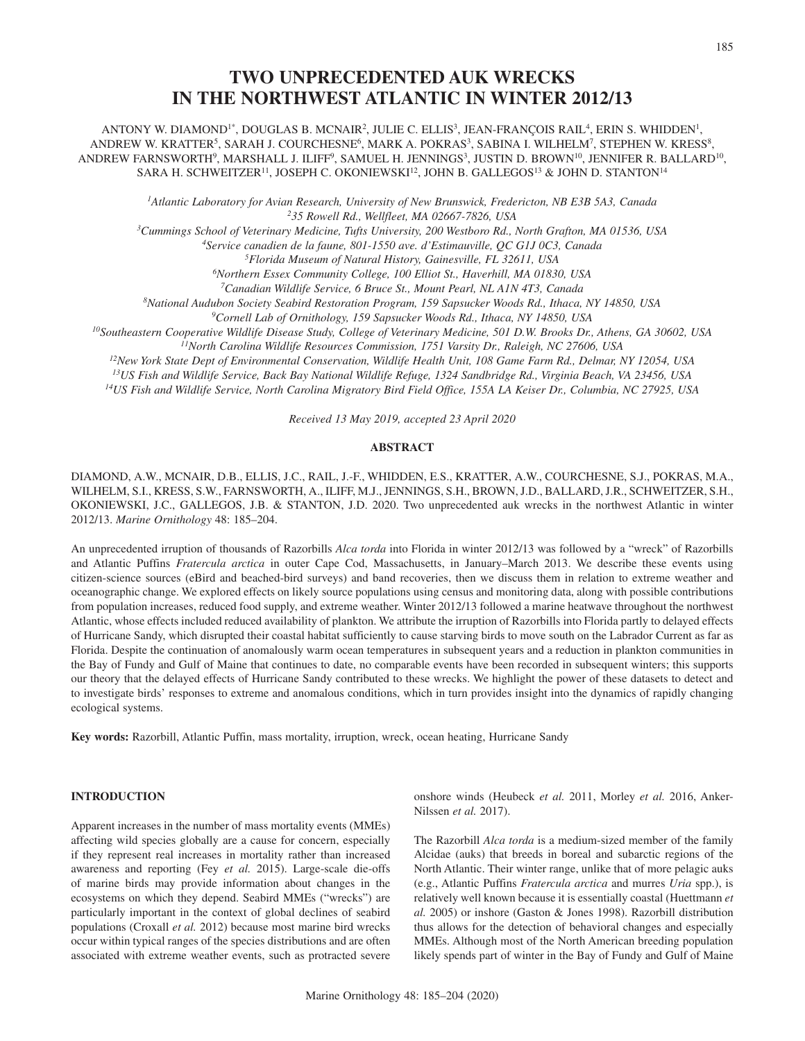# **TWO UNPRECEDENTED AUK WRECKS IN THE NORTHWEST ATLANTIC IN WINTER 2012/13**

ANTONY W. DIAMOND<sup>1\*</sup>, DOUGLAS B. MCNAIR<sup>2</sup>, JULIE C. ELLIS<sup>3</sup>, JEAN-FRANCOIS RAIL<sup>4</sup>, ERIN S. WHIDDEN<sup>1</sup>, ANDREW W. KRATTER<sup>5</sup>, SARAH J. COURCHESNE<sup>6</sup>, MARK A. POKRAS<sup>3</sup>, SABINA I. WILHELM<sup>7</sup>, STEPHEN W. KRESS<sup>8</sup>, ANDREW FARNSWORTH<sup>9</sup>, MARSHALL J. ILIFF<sup>9</sup>, SAMUEL H. JENNINGS<sup>3</sup>, JUSTIN D. BROWN<sup>10</sup>, JENNIFER R. BALLARD<sup>10</sup>, SARA H. SCHWEITZER<sup>11</sup>, JOSEPH C. OKONIEWSKI<sup>12</sup>, JOHN B. GALLEGOS<sup>13</sup> & JOHN D. STANTON<sup>14</sup>

*1Atlantic Laboratory for Avian Research, University of New Brunswick, Fredericton, NB E3B 5A3, Canada 235 Rowell Rd., Wellfleet, MA 02667-7826, USA*

*3Cummings School of Veterinary Medicine, Tufts University, 200 Westboro Rd., North Grafton, MA 01536, USA*

*4Service canadien de la faune, 801-1550 ave. d'Estimauville, QC G1J 0C3, Canada*

*5Florida Museum of Natural History, Gainesville, FL 32611, USA 6Northern Essex Community College, 100 Elliot St., Haverhill, MA 01830, USA*

*7Canadian Wildlife Service, 6 Bruce St., Mount Pearl, NL A1N 4T3, Canada*

*8National Audubon Society Seabird Restoration Program, 159 Sapsucker Woods Rd., Ithaca, NY 14850, USA 9Cornell Lab of Ornithology, 159 Sapsucker Woods Rd., Ithaca, NY 14850, USA*

*10Southeastern Cooperative Wildlife Disease Study, College of Veterinary Medicine, 501 D.W. Brooks Dr., Athens, GA 30602, USA 11North Carolina Wildlife Resources Commission, 1751 Varsity Dr., Raleigh, NC 27606, USA*

*12New York State Dept of Environmental Conservation, Wildlife Health Unit, 108 Game Farm Rd., Delmar, NY 12054, USA*

*13US Fish and Wildlife Service, Back Bay National Wildlife Refuge, 1324 Sandbridge Rd., Virginia Beach, VA 23456, USA*

*14US Fish and Wildlife Service, North Carolina Migratory Bird Field Office, 155A LA Keiser Dr., Columbia, NC 27925, USA*

*Received 13 May 2019, accepted 23 April 2020*

# **ABSTRACT**

DIAMOND, A.W., MCNAIR, D.B., ELLIS, J.C., RAIL, J.-F., WHIDDEN, E.S., KRATTER, A.W., COURCHESNE, S.J., POKRAS, M.A., WILHELM, S.I., KRESS, S.W., FARNSWORTH, A., ILIFF, M.J., JENNINGS, S.H., BROWN, J.D., BALLARD, J.R., SCHWEITZER, S.H., OKONIEWSKI, J.C., GALLEGOS, J.B. & STANTON, J.D. 2020. Two unprecedented auk wrecks in the northwest Atlantic in winter 2012/13. *Marine Ornithology* 48: 185–204.

An unprecedented irruption of thousands of Razorbills *Alca torda* into Florida in winter 2012/13 was followed by a "wreck" of Razorbills and Atlantic Puffins *Fratercula arctica* in outer Cape Cod, Massachusetts, in January–March 2013. We describe these events using citizen-science sources (eBird and beached-bird surveys) and band recoveries, then we discuss them in relation to extreme weather and oceanographic change. We explored effects on likely source populations using census and monitoring data, along with possible contributions from population increases, reduced food supply, and extreme weather. Winter 2012/13 followed a marine heatwave throughout the northwest Atlantic, whose effects included reduced availability of plankton. We attribute the irruption of Razorbills into Florida partly to delayed effects of Hurricane Sandy, which disrupted their coastal habitat sufficiently to cause starving birds to move south on the Labrador Current as far as Florida. Despite the continuation of anomalously warm ocean temperatures in subsequent years and a reduction in plankton communities in the Bay of Fundy and Gulf of Maine that continues to date, no comparable events have been recorded in subsequent winters; this supports our theory that the delayed effects of Hurricane Sandy contributed to these wrecks. We highlight the power of these datasets to detect and to investigate birds' responses to extreme and anomalous conditions, which in turn provides insight into the dynamics of rapidly changing ecological systems.

**Key words:** Razorbill, Atlantic Puffin, mass mortality, irruption, wreck, ocean heating, Hurricane Sandy

# **INTRODUCTION**

Apparent increases in the number of mass mortality events (MMEs) affecting wild species globally are a cause for concern, especially if they represent real increases in mortality rather than increased awareness and reporting (Fey *et al.* 2015). Large-scale die-offs of marine birds may provide information about changes in the ecosystems on which they depend. Seabird MMEs ("wrecks") are particularly important in the context of global declines of seabird populations (Croxall *et al.* 2012) because most marine bird wrecks occur within typical ranges of the species distributions and are often associated with extreme weather events, such as protracted severe

onshore winds (Heubeck *et al.* 2011, Morley *et al.* 2016, Anker-Nilssen *et al.* 2017).

The Razorbill *Alca torda* is a medium-sized member of the family Alcidae (auks) that breeds in boreal and subarctic regions of the North Atlantic. Their winter range, unlike that of more pelagic auks (e.g., Atlantic Puffins *Fratercula arctica* and murres *Uria* spp.), is relatively well known because it is essentially coastal (Huettmann *et al.* 2005) or inshore (Gaston & Jones 1998). Razorbill distribution thus allows for the detection of behavioral changes and especially MMEs. Although most of the North American breeding population likely spends part of winter in the Bay of Fundy and Gulf of Maine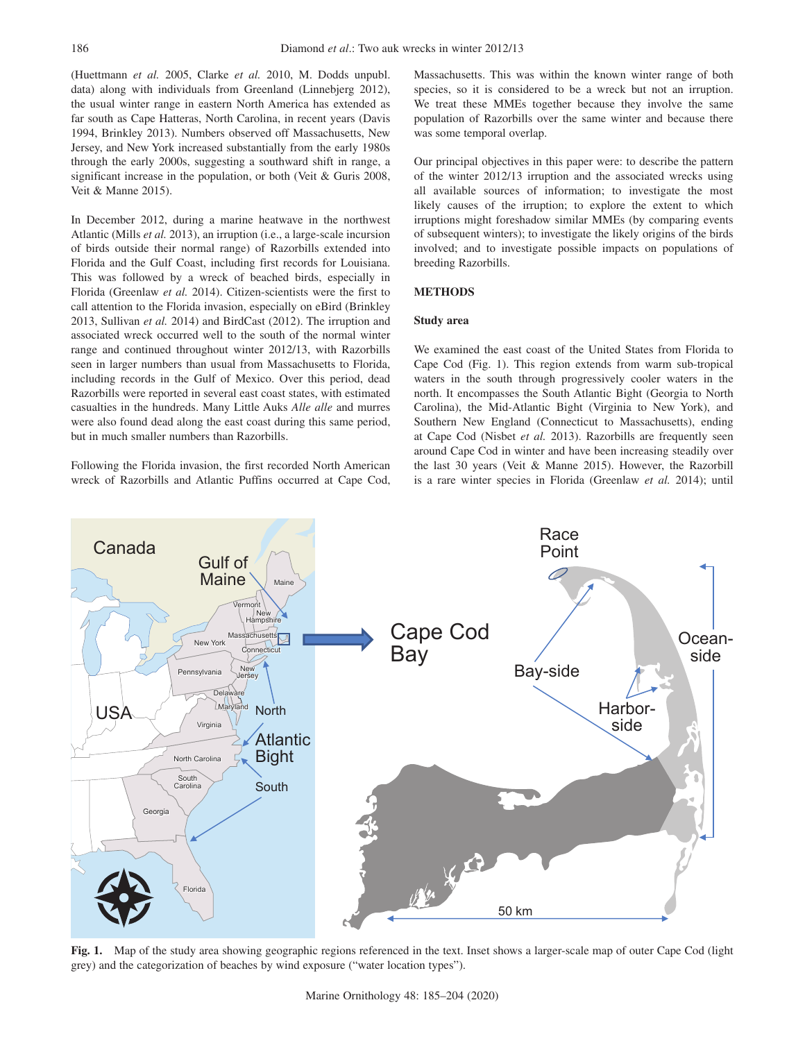(Huettmann *et al.* 2005, Clarke *et al.* 2010, M. Dodds unpubl. data) along with individuals from Greenland (Linnebjerg 2012), the usual winter range in eastern North America has extended as far south as Cape Hatteras, North Carolina, in recent years (Davis 1994, Brinkley 2013). Numbers observed off Massachusetts, New Jersey, and New York increased substantially from the early 1980s through the early 2000s, suggesting a southward shift in range, a significant increase in the population, or both (Veit & Guris 2008, Veit & Manne 2015).

In December 2012, during a marine heatwave in the northwest Atlantic (Mills *et al.* 2013), an irruption (i.e., a large-scale incursion of birds outside their normal range) of Razorbills extended into Florida and the Gulf Coast, including first records for Louisiana. This was followed by a wreck of beached birds, especially in Florida (Greenlaw *et al.* 2014). Citizen-scientists were the first to call attention to the Florida invasion, especially on eBird (Brinkley 2013, Sullivan *et al.* 2014) and BirdCast (2012). The irruption and associated wreck occurred well to the south of the normal winter range and continued throughout winter 2012/13, with Razorbills seen in larger numbers than usual from Massachusetts to Florida, including records in the Gulf of Mexico. Over this period, dead Razorbills were reported in several east coast states, with estimated casualties in the hundreds. Many Little Auks *Alle alle* and murres were also found dead along the east coast during this same period, but in much smaller numbers than Razorbills.

Following the Florida invasion, the first recorded North American wreck of Razorbills and Atlantic Puffins occurred at Cape Cod, Massachusetts. This was within the known winter range of both species, so it is considered to be a wreck but not an irruption. We treat these MMEs together because they involve the same population of Razorbills over the same winter and because there was some temporal overlap.

Our principal objectives in this paper were: to describe the pattern of the winter 2012/13 irruption and the associated wrecks using all available sources of information; to investigate the most likely causes of the irruption; to explore the extent to which irruptions might foreshadow similar MMEs (by comparing events of subsequent winters); to investigate the likely origins of the birds involved; and to investigate possible impacts on populations of breeding Razorbills.

# **METHODS**

### **Study area**

We examined the east coast of the United States from Florida to Cape Cod (Fig. 1). This region extends from warm sub-tropical waters in the south through progressively cooler waters in the north. It encompasses the South Atlantic Bight (Georgia to North Carolina), the Mid-Atlantic Bight (Virginia to New York), and Southern New England (Connecticut to Massachusetts), ending at Cape Cod (Nisbet *et al.* 2013). Razorbills are frequently seen around Cape Cod in winter and have been increasing steadily over the last 30 years (Veit & Manne 2015). However, the Razorbill is a rare winter species in Florida (Greenlaw *et al.* 2014); until



**Fig. 1.** Map of the study area showing geographic regions referenced in the text. Inset shows a larger-scale map of outer Cape Cod (light grey) and the categorization of beaches by wind exposure ("water location types").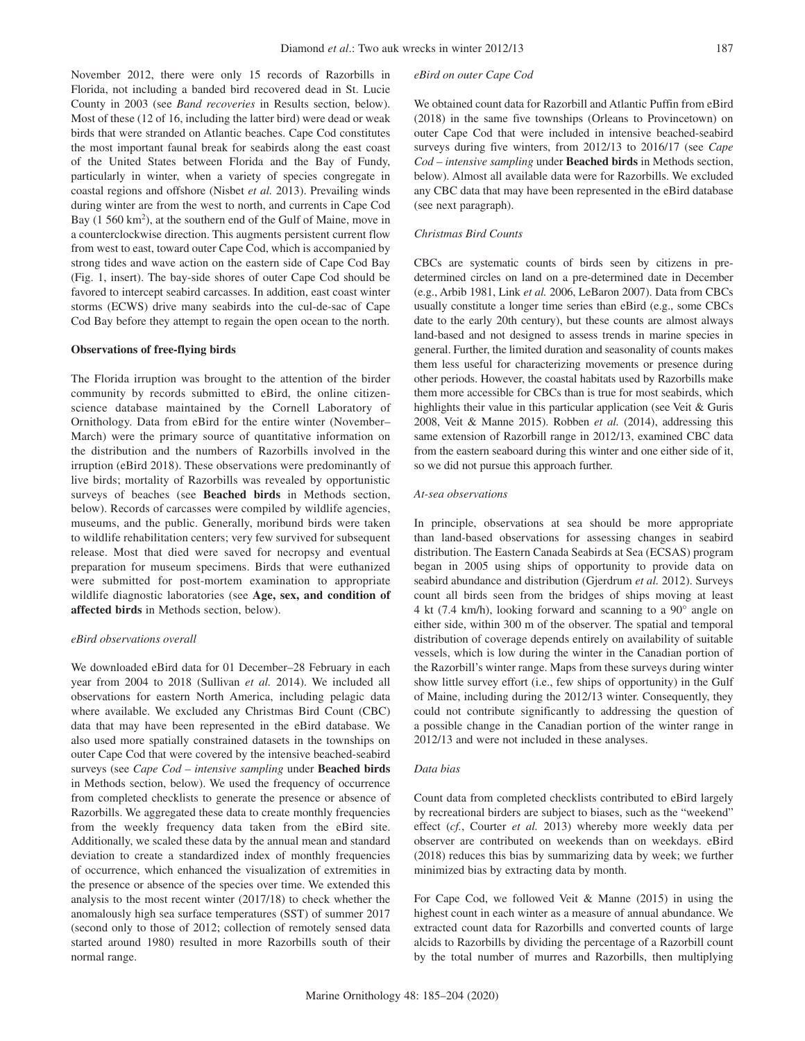November 2012, there were only 15 records of Razorbills in Florida, not including a banded bird recovered dead in St. Lucie County in 2003 (see *Band recoveries* in Results section, below). Most of these (12 of 16, including the latter bird) were dead or weak birds that were stranded on Atlantic beaches. Cape Cod constitutes the most important faunal break for seabirds along the east coast of the United States between Florida and the Bay of Fundy, particularly in winter, when a variety of species congregate in coastal regions and offshore (Nisbet *et al.* 2013). Prevailing winds during winter are from the west to north, and currents in Cape Cod Bay (1 560 km<sup>2</sup>), at the southern end of the Gulf of Maine, move in a counterclockwise direction. This augments persistent current flow from west to east, toward outer Cape Cod, which is accompanied by strong tides and wave action on the eastern side of Cape Cod Bay (Fig. 1, insert). The bay-side shores of outer Cape Cod should be favored to intercept seabird carcasses. In addition, east coast winter storms (ECWS) drive many seabirds into the cul-de-sac of Cape Cod Bay before they attempt to regain the open ocean to the north.

### **Observations of free-flying birds**

The Florida irruption was brought to the attention of the birder community by records submitted to eBird, the online citizenscience database maintained by the Cornell Laboratory of Ornithology. Data from eBird for the entire winter (November– March) were the primary source of quantitative information on the distribution and the numbers of Razorbills involved in the irruption (eBird 2018). These observations were predominantly of live birds; mortality of Razorbills was revealed by opportunistic surveys of beaches (see **Beached birds** in Methods section, below). Records of carcasses were compiled by wildlife agencies, museums, and the public. Generally, moribund birds were taken to wildlife rehabilitation centers; very few survived for subsequent release. Most that died were saved for necropsy and eventual preparation for museum specimens. Birds that were euthanized were submitted for post-mortem examination to appropriate wildlife diagnostic laboratories (see **Age, sex, and condition of affected birds** in Methods section, below).

#### *eBird observations overall*

We downloaded eBird data for 01 December–28 February in each year from 2004 to 2018 (Sullivan *et al.* 2014). We included all observations for eastern North America, including pelagic data where available. We excluded any Christmas Bird Count (CBC) data that may have been represented in the eBird database. We also used more spatially constrained datasets in the townships on outer Cape Cod that were covered by the intensive beached-seabird surveys (see *Cape Cod – intensive sampling* under **Beached birds** in Methods section, below). We used the frequency of occurrence from completed checklists to generate the presence or absence of Razorbills. We aggregated these data to create monthly frequencies from the weekly frequency data taken from the eBird site. Additionally, we scaled these data by the annual mean and standard deviation to create a standardized index of monthly frequencies of occurrence, which enhanced the visualization of extremities in the presence or absence of the species over time. We extended this analysis to the most recent winter (2017/18) to check whether the anomalously high sea surface temperatures (SST) of summer 2017 (second only to those of 2012; collection of remotely sensed data started around 1980) resulted in more Razorbills south of their normal range.

#### *eBird on outer Cape Cod*

We obtained count data for Razorbill and Atlantic Puffin from eBird (2018) in the same five townships (Orleans to Provincetown) on outer Cape Cod that were included in intensive beached-seabird surveys during five winters, from 2012/13 to 2016/17 (see *Cape Cod – intensive sampling* under **Beached birds** in Methods section, below). Almost all available data were for Razorbills. We excluded any CBC data that may have been represented in the eBird database (see next paragraph).

# *Christmas Bird Counts*

CBCs are systematic counts of birds seen by citizens in predetermined circles on land on a pre-determined date in December (e.g., Arbib 1981, Link *et al.* 2006, LeBaron 2007). Data from CBCs usually constitute a longer time series than eBird (e.g., some CBCs date to the early 20th century), but these counts are almost always land-based and not designed to assess trends in marine species in general. Further, the limited duration and seasonality of counts makes them less useful for characterizing movements or presence during other periods. However, the coastal habitats used by Razorbills make them more accessible for CBCs than is true for most seabirds, which highlights their value in this particular application (see Veit & Guris 2008, Veit & Manne 2015). Robben *et al.* (2014), addressing this same extension of Razorbill range in 2012/13, examined CBC data from the eastern seaboard during this winter and one either side of it, so we did not pursue this approach further.

### *At-sea observations*

In principle, observations at sea should be more appropriate than land-based observations for assessing changes in seabird distribution. The Eastern Canada Seabirds at Sea (ECSAS) program began in 2005 using ships of opportunity to provide data on seabird abundance and distribution (Gjerdrum *et al.* 2012). Surveys count all birds seen from the bridges of ships moving at least 4 kt (7.4 km/h), looking forward and scanning to a  $90^\circ$  angle on either side, within 300 m of the observer. The spatial and temporal distribution of coverage depends entirely on availability of suitable vessels, which is low during the winter in the Canadian portion of the Razorbill's winter range. Maps from these surveys during winter show little survey effort (i.e., few ships of opportunity) in the Gulf of Maine, including during the 2012/13 winter. Consequently, they could not contribute significantly to addressing the question of a possible change in the Canadian portion of the winter range in 2012/13 and were not included in these analyses.

#### *Data bias*

Count data from completed checklists contributed to eBird largely by recreational birders are subject to biases, such as the "weekend" effect (*cf.*, Courter *et al.* 2013) whereby more weekly data per observer are contributed on weekends than on weekdays. eBird (2018) reduces this bias by summarizing data by week; we further minimized bias by extracting data by month.

For Cape Cod, we followed Veit & Manne (2015) in using the highest count in each winter as a measure of annual abundance. We extracted count data for Razorbills and converted counts of large alcids to Razorbills by dividing the percentage of a Razorbill count by the total number of murres and Razorbills, then multiplying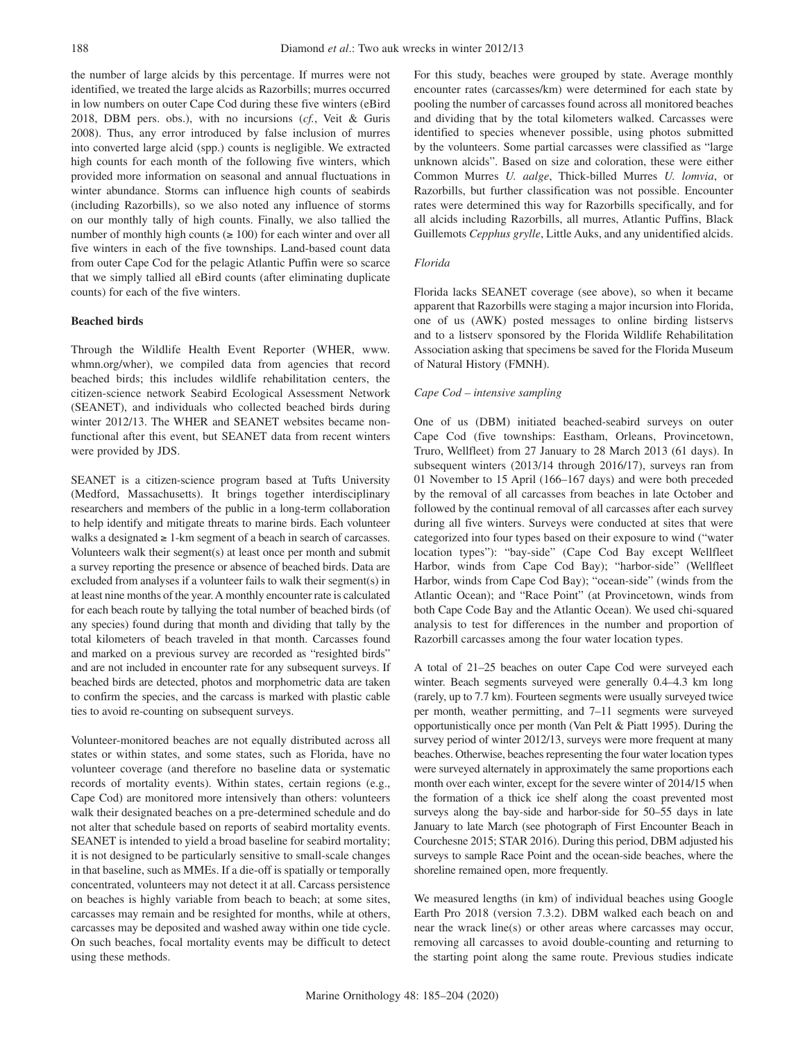the number of large alcids by this percentage. If murres were not identified, we treated the large alcids as Razorbills; murres occurred in low numbers on outer Cape Cod during these five winters (eBird 2018, DBM pers. obs.), with no incursions (*cf.*, Veit & Guris 2008). Thus, any error introduced by false inclusion of murres into converted large alcid (spp.) counts is negligible. We extracted high counts for each month of the following five winters, which provided more information on seasonal and annual fluctuations in winter abundance. Storms can influence high counts of seabirds (including Razorbills), so we also noted any influence of storms on our monthly tally of high counts. Finally, we also tallied the number of monthly high counts ( $\geq 100$ ) for each winter and over all five winters in each of the five townships. Land-based count data from outer Cape Cod for the pelagic Atlantic Puffin were so scarce that we simply tallied all eBird counts (after eliminating duplicate counts) for each of the five winters.

# **Beached birds**

Through the Wildlife Health Event Reporter (WHER, www. whmn.org/wher), we compiled data from agencies that record beached birds; this includes wildlife rehabilitation centers, the citizen-science network Seabird Ecological Assessment Network (SEANET), and individuals who collected beached birds during winter 2012/13. The WHER and SEANET websites became nonfunctional after this event, but SEANET data from recent winters were provided by JDS.

SEANET is a citizen-science program based at Tufts University (Medford, Massachusetts). It brings together interdisciplinary researchers and members of the public in a long-term collaboration to help identify and mitigate threats to marine birds. Each volunteer walks a designated  $\geq 1$ -km segment of a beach in search of carcasses. Volunteers walk their segment(s) at least once per month and submit a survey reporting the presence or absence of beached birds. Data are excluded from analyses if a volunteer fails to walk their segment(s) in at least nine months of the year. A monthly encounter rate is calculated for each beach route by tallying the total number of beached birds (of any species) found during that month and dividing that tally by the total kilometers of beach traveled in that month. Carcasses found and marked on a previous survey are recorded as "resighted birds" and are not included in encounter rate for any subsequent surveys. If beached birds are detected, photos and morphometric data are taken to confirm the species, and the carcass is marked with plastic cable ties to avoid re-counting on subsequent surveys.

Volunteer-monitored beaches are not equally distributed across all states or within states, and some states, such as Florida, have no volunteer coverage (and therefore no baseline data or systematic records of mortality events). Within states, certain regions (e.g., Cape Cod) are monitored more intensively than others: volunteers walk their designated beaches on a pre-determined schedule and do not alter that schedule based on reports of seabird mortality events. SEANET is intended to yield a broad baseline for seabird mortality; it is not designed to be particularly sensitive to small-scale changes in that baseline, such as MMEs. If a die-off is spatially or temporally concentrated, volunteers may not detect it at all. Carcass persistence on beaches is highly variable from beach to beach; at some sites, carcasses may remain and be resighted for months, while at others, carcasses may be deposited and washed away within one tide cycle. On such beaches, focal mortality events may be difficult to detect using these methods.

For this study, beaches were grouped by state. Average monthly encounter rates (carcasses/km) were determined for each state by pooling the number of carcasses found across all monitored beaches and dividing that by the total kilometers walked. Carcasses were identified to species whenever possible, using photos submitted by the volunteers. Some partial carcasses were classified as "large unknown alcids". Based on size and coloration, these were either Common Murres *U. aalge*, Thick-billed Murres *U. lomvia*, or Razorbills, but further classification was not possible. Encounter rates were determined this way for Razorbills specifically, and for all alcids including Razorbills, all murres, Atlantic Puffins, Black Guillemots *Cepphus grylle*, Little Auks, and any unidentified alcids.

### *Florida*

Florida lacks SEANET coverage (see above), so when it became apparent that Razorbills were staging a major incursion into Florida, one of us (AWK) posted messages to online birding listservs and to a listserv sponsored by the Florida Wildlife Rehabilitation Association asking that specimens be saved for the Florida Museum of Natural History (FMNH).

#### *Cape Cod – intensive sampling*

One of us (DBM) initiated beached-seabird surveys on outer Cape Cod (five townships: Eastham, Orleans, Provincetown, Truro, Wellfleet) from 27 January to 28 March 2013 (61 days). In subsequent winters (2013/14 through 2016/17), surveys ran from 01 November to 15 April (166–167 days) and were both preceded by the removal of all carcasses from beaches in late October and followed by the continual removal of all carcasses after each survey during all five winters. Surveys were conducted at sites that were categorized into four types based on their exposure to wind ("water location types"): "bay-side" (Cape Cod Bay except Wellfleet Harbor, winds from Cape Cod Bay); "harbor-side" (Wellfleet Harbor, winds from Cape Cod Bay); "ocean-side" (winds from the Atlantic Ocean); and "Race Point" (at Provincetown, winds from both Cape Code Bay and the Atlantic Ocean). We used chi-squared analysis to test for differences in the number and proportion of Razorbill carcasses among the four water location types.

A total of 21–25 beaches on outer Cape Cod were surveyed each winter. Beach segments surveyed were generally 0.4–4.3 km long (rarely, up to 7.7 km). Fourteen segments were usually surveyed twice per month, weather permitting, and 7–11 segments were surveyed opportunistically once per month (Van Pelt & Piatt 1995). During the survey period of winter 2012/13, surveys were more frequent at many beaches. Otherwise, beaches representing the four water location types were surveyed alternately in approximately the same proportions each month over each winter, except for the severe winter of 2014/15 when the formation of a thick ice shelf along the coast prevented most surveys along the bay-side and harbor-side for 50–55 days in late January to late March (see photograph of First Encounter Beach in Courchesne 2015; STAR 2016). During this period, DBM adjusted his surveys to sample Race Point and the ocean-side beaches, where the shoreline remained open, more frequently.

We measured lengths (in km) of individual beaches using Google Earth Pro 2018 (version 7.3.2). DBM walked each beach on and near the wrack line(s) or other areas where carcasses may occur, removing all carcasses to avoid double-counting and returning to the starting point along the same route. Previous studies indicate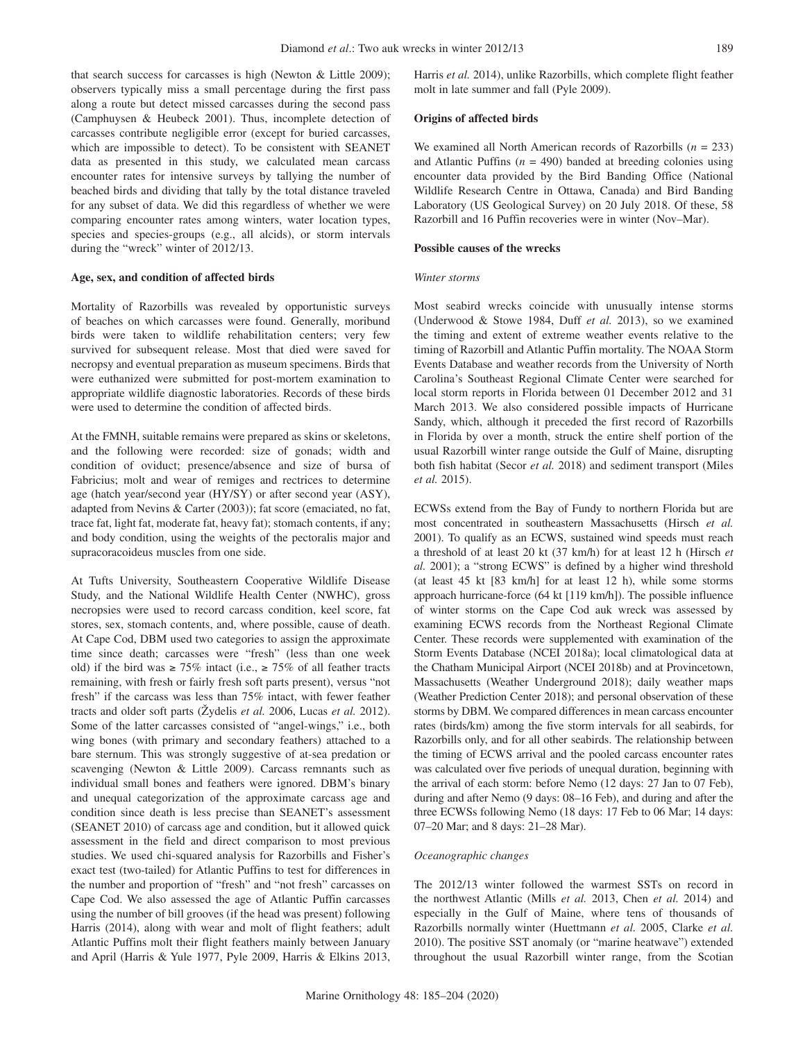that search success for carcasses is high (Newton & Little 2009); observers typically miss a small percentage during the first pass along a route but detect missed carcasses during the second pass (Camphuysen & Heubeck 2001). Thus, incomplete detection of carcasses contribute negligible error (except for buried carcasses, which are impossible to detect). To be consistent with SEANET data as presented in this study, we calculated mean carcass encounter rates for intensive surveys by tallying the number of beached birds and dividing that tally by the total distance traveled for any subset of data. We did this regardless of whether we were comparing encounter rates among winters, water location types, species and species-groups (e.g., all alcids), or storm intervals during the "wreck" winter of 2012/13.

### **Age, sex, and condition of affected birds**

Mortality of Razorbills was revealed by opportunistic surveys of beaches on which carcasses were found. Generally, moribund birds were taken to wildlife rehabilitation centers; very few survived for subsequent release. Most that died were saved for necropsy and eventual preparation as museum specimens. Birds that were euthanized were submitted for post-mortem examination to appropriate wildlife diagnostic laboratories. Records of these birds were used to determine the condition of affected birds.

At the FMNH, suitable remains were prepared as skins or skeletons, and the following were recorded: size of gonads; width and condition of oviduct; presence/absence and size of bursa of Fabricius; molt and wear of remiges and rectrices to determine age (hatch year/second year (HY/SY) or after second year (ASY), adapted from Nevins & Carter (2003)); fat score (emaciated, no fat, trace fat, light fat, moderate fat, heavy fat); stomach contents, if any; and body condition, using the weights of the pectoralis major and supracoracoideus muscles from one side.

At Tufts University, Southeastern Cooperative Wildlife Disease Study, and the National Wildlife Health Center (NWHC), gross necropsies were used to record carcass condition, keel score, fat stores, sex, stomach contents, and, where possible, cause of death. At Cape Cod, DBM used two categories to assign the approximate time since death; carcasses were "fresh" (less than one week old) if the bird was ≥ 75% intact (i.e., ≥ 75% of all feather tracts remaining, with fresh or fairly fresh soft parts present), versus "not fresh" if the carcass was less than 75% intact, with fewer feather tracts and older soft parts (Žydelis *et al.* 2006, Lucas *et al.* 2012). Some of the latter carcasses consisted of "angel-wings," i.e., both wing bones (with primary and secondary feathers) attached to a bare sternum. This was strongly suggestive of at-sea predation or scavenging (Newton & Little 2009). Carcass remnants such as individual small bones and feathers were ignored. DBM's binary and unequal categorization of the approximate carcass age and condition since death is less precise than SEANET's assessment (SEANET 2010) of carcass age and condition, but it allowed quick assessment in the field and direct comparison to most previous studies. We used chi-squared analysis for Razorbills and Fisher's exact test (two-tailed) for Atlantic Puffins to test for differences in the number and proportion of "fresh" and "not fresh" carcasses on Cape Cod. We also assessed the age of Atlantic Puffin carcasses using the number of bill grooves (if the head was present) following Harris (2014), along with wear and molt of flight feathers; adult Atlantic Puffins molt their flight feathers mainly between January and April (Harris & Yule 1977, Pyle 2009, Harris & Elkins 2013, Harris *et al.* 2014), unlike Razorbills, which complete flight feather molt in late summer and fall (Pyle 2009).

### **Origins of affected birds**

We examined all North American records of Razorbills (*n* = 233) and Atlantic Puffins  $(n = 490)$  banded at breeding colonies using encounter data provided by the Bird Banding Office (National Wildlife Research Centre in Ottawa, Canada) and Bird Banding Laboratory (US Geological Survey) on 20 July 2018. Of these, 58 Razorbill and 16 Puffin recoveries were in winter (Nov–Mar).

#### **Possible causes of the wrecks**

#### *Winter storms*

Most seabird wrecks coincide with unusually intense storms (Underwood & Stowe 1984, Duff *et al.* 2013), so we examined the timing and extent of extreme weather events relative to the timing of Razorbill and Atlantic Puffin mortality. The NOAA Storm Events Database and weather records from the University of North Carolina's Southeast Regional Climate Center were searched for local storm reports in Florida between 01 December 2012 and 31 March 2013. We also considered possible impacts of Hurricane Sandy, which, although it preceded the first record of Razorbills in Florida by over a month, struck the entire shelf portion of the usual Razorbill winter range outside the Gulf of Maine, disrupting both fish habitat (Secor *et al.* 2018) and sediment transport (Miles *et al.* 2015).

ECWSs extend from the Bay of Fundy to northern Florida but are most concentrated in southeastern Massachusetts (Hirsch *et al.* 2001). To qualify as an ECWS, sustained wind speeds must reach a threshold of at least 20 kt (37 km/h) for at least 12 h (Hirsch *et al.* 2001); a "strong ECWS" is defined by a higher wind threshold (at least 45 kt [83 km/h] for at least 12 h), while some storms approach hurricane-force (64 kt [119 km/h]). The possible influence of winter storms on the Cape Cod auk wreck was assessed by examining ECWS records from the Northeast Regional Climate Center. These records were supplemented with examination of the Storm Events Database (NCEI 2018a); local climatological data at the Chatham Municipal Airport (NCEI 2018b) and at Provincetown, Massachusetts (Weather Underground 2018); daily weather maps (Weather Prediction Center 2018); and personal observation of these storms by DBM. We compared differences in mean carcass encounter rates (birds/km) among the five storm intervals for all seabirds, for Razorbills only, and for all other seabirds. The relationship between the timing of ECWS arrival and the pooled carcass encounter rates was calculated over five periods of unequal duration, beginning with the arrival of each storm: before Nemo (12 days: 27 Jan to 07 Feb), during and after Nemo (9 days: 08–16 Feb), and during and after the three ECWSs following Nemo (18 days: 17 Feb to 06 Mar; 14 days: 07–20 Mar; and 8 days: 21–28 Mar).

#### *Oceanographic changes*

The 2012/13 winter followed the warmest SSTs on record in the northwest Atlantic (Mills *et al.* 2013, Chen *et al.* 2014) and especially in the Gulf of Maine, where tens of thousands of Razorbills normally winter (Huettmann *et al.* 2005, Clarke *et al.* 2010). The positive SST anomaly (or "marine heatwave") extended throughout the usual Razorbill winter range, from the Scotian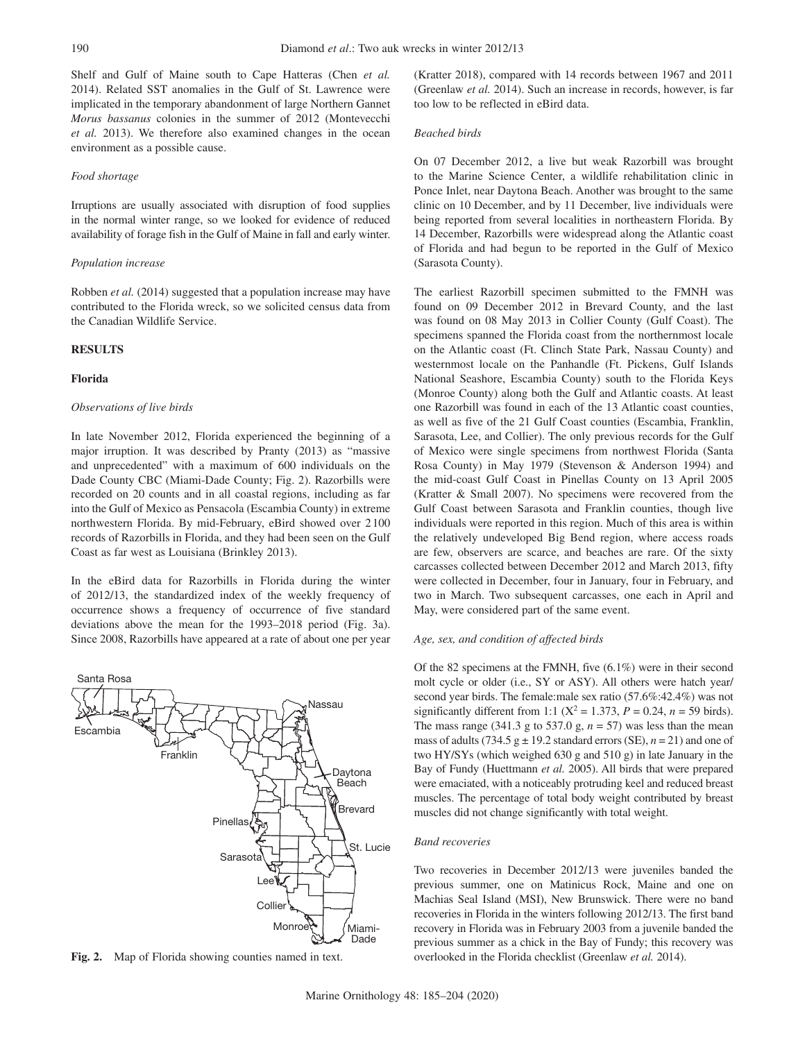Shelf and Gulf of Maine south to Cape Hatteras (Chen *et al.* 2014). Related SST anomalies in the Gulf of St. Lawrence were implicated in the temporary abandonment of large Northern Gannet *Morus bassanus* colonies in the summer of 2012 (Montevecchi *et al.* 2013). We therefore also examined changes in the ocean environment as a possible cause.

### *Food shortage*

Irruptions are usually associated with disruption of food supplies in the normal winter range, so we looked for evidence of reduced availability of forage fish in the Gulf of Maine in fall and early winter.

### *Population increase*

Robben *et al.* (2014) suggested that a population increase may have contributed to the Florida wreck, so we solicited census data from the Canadian Wildlife Service.

# **RESULTS**

### **Florida**

### *Observations of live birds*

In late November 2012, Florida experienced the beginning of a major irruption. It was described by Pranty (2013) as "massive and unprecedented" with a maximum of 600 individuals on the Dade County CBC (Miami-Dade County; Fig. 2). Razorbills were recorded on 20 counts and in all coastal regions, including as far into the Gulf of Mexico as Pensacola (Escambia County) in extreme northwestern Florida. By mid-February, eBird showed over 2100 records of Razorbills in Florida, and they had been seen on the Gulf Coast as far west as Louisiana (Brinkley 2013).

In the eBird data for Razorbills in Florida during the winter of 2012/13, the standardized index of the weekly frequency of occurrence shows a frequency of occurrence of five standard deviations above the mean for the 1993–2018 period (Fig. 3a). Since 2008, Razorbills have appeared at a rate of about one per year



Fig. 2. Map of Florida showing counties named in text.

(Kratter 2018), compared with 14 records between 1967 and 2011 (Greenlaw *et al.* 2014). Such an increase in records, however, is far too low to be reflected in eBird data.

### *Beached birds*

On 07 December 2012, a live but weak Razorbill was brought to the Marine Science Center, a wildlife rehabilitation clinic in Ponce Inlet, near Daytona Beach. Another was brought to the same clinic on 10 December, and by 11 December, live individuals were being reported from several localities in northeastern Florida. By 14 December, Razorbills were widespread along the Atlantic coast of Florida and had begun to be reported in the Gulf of Mexico (Sarasota County).

The earliest Razorbill specimen submitted to the FMNH was found on 09 December 2012 in Brevard County, and the last was found on 08 May 2013 in Collier County (Gulf Coast). The specimens spanned the Florida coast from the northernmost locale on the Atlantic coast (Ft. Clinch State Park, Nassau County) and westernmost locale on the Panhandle (Ft. Pickens, Gulf Islands National Seashore, Escambia County) south to the Florida Keys (Monroe County) along both the Gulf and Atlantic coasts. At least one Razorbill was found in each of the 13 Atlantic coast counties, as well as five of the 21 Gulf Coast counties (Escambia, Franklin, Sarasota, Lee, and Collier). The only previous records for the Gulf of Mexico were single specimens from northwest Florida (Santa Rosa County) in May 1979 (Stevenson & Anderson 1994) and the mid-coast Gulf Coast in Pinellas County on 13 April 2005 (Kratter & Small 2007). No specimens were recovered from the Gulf Coast between Sarasota and Franklin counties, though live individuals were reported in this region. Much of this area is within the relatively undeveloped Big Bend region, where access roads are few, observers are scarce, and beaches are rare. Of the sixty carcasses collected between December 2012 and March 2013, fifty were collected in December, four in January, four in February, and two in March. Two subsequent carcasses, one each in April and May, were considered part of the same event.

### *Age, sex, and condition of affected birds*

Of the 82 specimens at the FMNH, five (6.1%) were in their second molt cycle or older (i.e., SY or ASY). All others were hatch year/ second year birds. The female:male sex ratio (57.6%:42.4%) was not significantly different from 1:1 ( $X^2 = 1.373$ ,  $P = 0.24$ ,  $n = 59$  birds). The mass range (341.3 g to 537.0 g,  $n = 57$ ) was less than the mean mass of adults (734.5  $g \pm 19.2$  standard errors (SE),  $n = 21$ ) and one of two HY/SYs (which weighed 630 g and 510 g) in late January in the Bay of Fundy (Huettmann *et al.* 2005). All birds that were prepared were emaciated, with a noticeably protruding keel and reduced breast muscles. The percentage of total body weight contributed by breast muscles did not change significantly with total weight.

#### *Band recoveries*

Two recoveries in December 2012/13 were juveniles banded the previous summer, one on Matinicus Rock, Maine and one on Machias Seal Island (MSI), New Brunswick. There were no band recoveries in Florida in the winters following 2012/13. The first band recovery in Florida was in February 2003 from a juvenile banded the previous summer as a chick in the Bay of Fundy; this recovery was overlooked in the Florida checklist (Greenlaw *et al.* 2014).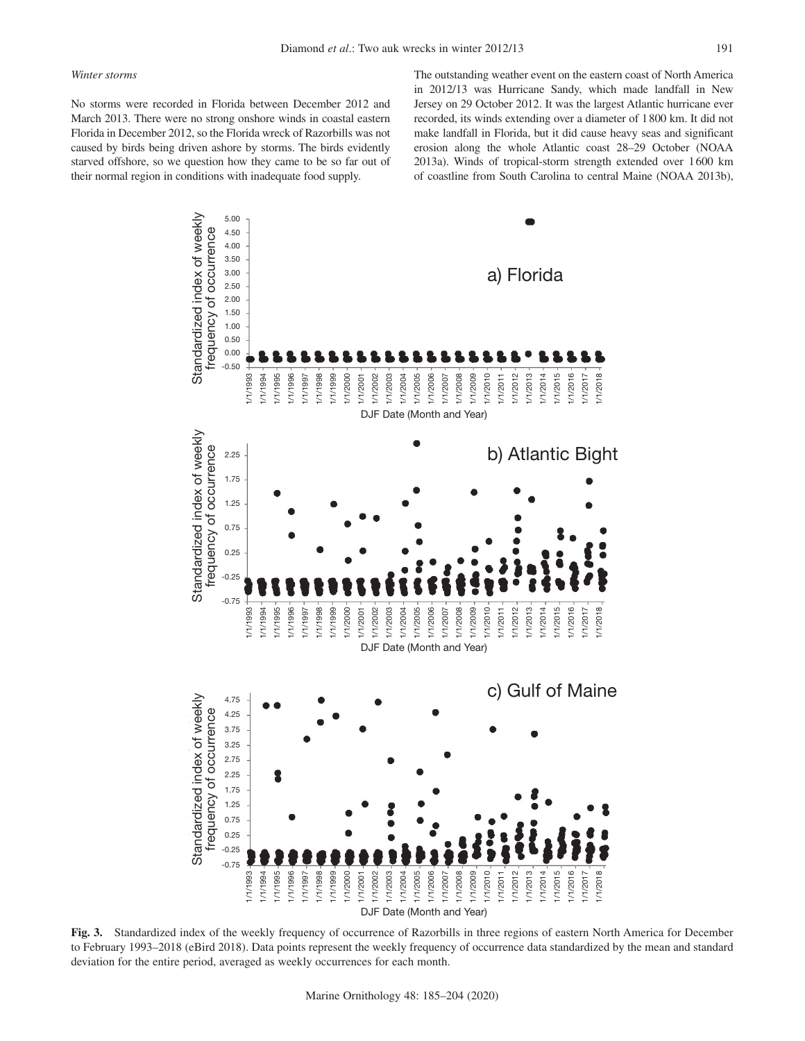#### *Winter storms*

No storms were recorded in Florida between December 2012 and March 2013. There were no strong onshore winds in coastal eastern Florida in December 2012, so the Florida wreck of Razorbills was not caused by birds being driven ashore by storms. The birds evidently starved offshore, so we question how they came to be so far out of their normal region in conditions with inadequate food supply.

The outstanding weather event on the eastern coast of North America in 2012/13 was Hurricane Sandy, which made landfall in New Jersey on 29 October 2012. It was the largest Atlantic hurricane ever recorded, its winds extending over a diameter of 1800 km. It did not make landfall in Florida, but it did cause heavy seas and significant erosion along the whole Atlantic coast 28–29 October (NOAA 2013a). Winds of tropical-storm strength extended over 1600 km of coastline from South Carolina to central Maine (NOAA 2013b),



**Fig. 3.** Standardized index of the weekly frequency of occurrence of Razorbills in three regions of eastern North America for December to February 1993–2018 (eBird 2018). Data points represent the weekly frequency of occurrence data standardized by the mean and standard deviation for the entire period, averaged as weekly occurrences for each month.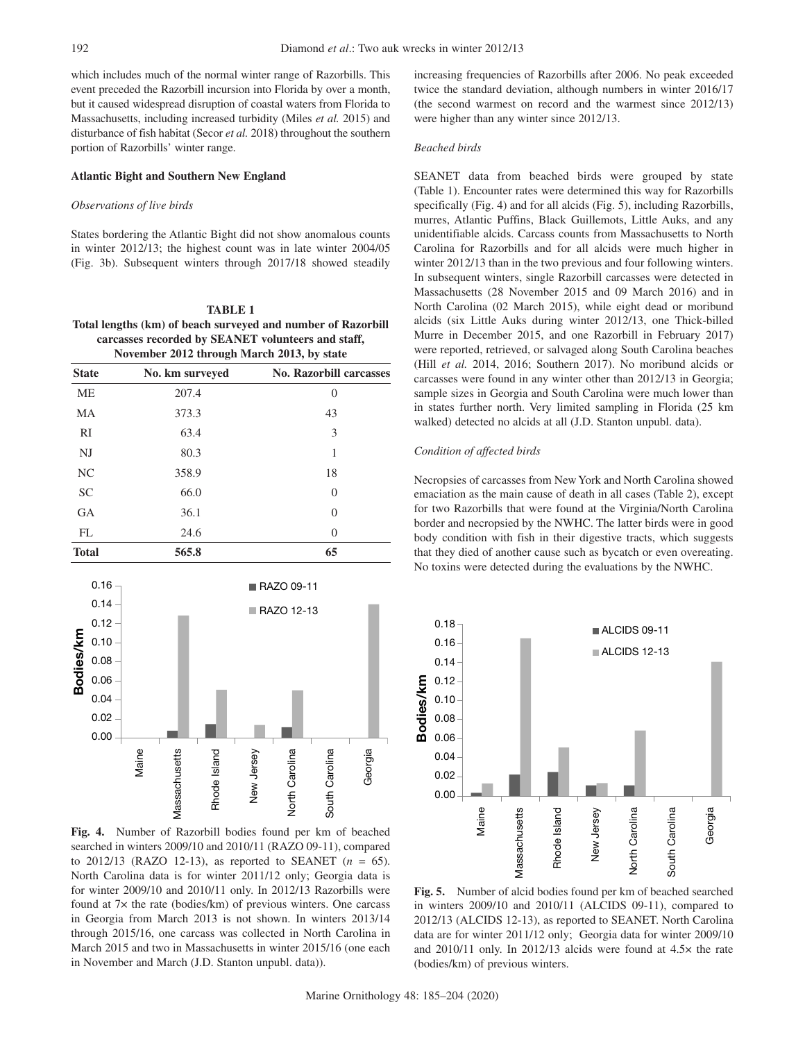which includes much of the normal winter range of Razorbills. This event preceded the Razorbill incursion into Florida by over a month, but it caused widespread disruption of coastal waters from Florida to Massachusetts, including increased turbidity (Miles *et al.* 2015) and disturbance of fish habitat (Secor *et al.* 2018) throughout the southern portion of Razorbills' winter range.

### **Atlantic Bight and Southern New England**

#### *Observations of live birds*

States bordering the Atlantic Bight did not show anomalous counts in winter 2012/13; the highest count was in late winter 2004/05 (Fig. 3b). Subsequent winters through 2017/18 showed steadily

# **TABLE 1 Total lengths (km) of beach surveyed and number of Razorbill carcasses recorded by SEANET volunteers and staff, November 2012 through March 2013, by state**

| <b>State</b>   | No. km surveyed | <b>No. Razorbill carcasses</b> |
|----------------|-----------------|--------------------------------|
| ME             | 207.4           | $\theta$                       |
| MA             | 373.3           | 43                             |
| RI             | 63.4            | 3                              |
| NJ             | 80.3            | 1                              |
| N <sub>C</sub> | 358.9           | 18                             |
| <b>SC</b>      | 66.0            | $\theta$                       |
| <b>GA</b>      | 36.1            | $\Omega$                       |
| FL             | 24.6            | $\theta$                       |
| <b>Total</b>   | 565.8           | 65                             |



**Fig. 4.** Number of Razorbill bodies found per km of beached searched in winters 2009/10 and 2010/11 (RAZO 09-11), compared to 2012/13 (RAZO 12-13), as reported to SEANET  $(n = 65)$ . North Carolina data is for winter 2011/12 only; Georgia data is for winter 2009/10 and 2010/11 only. In 2012/13 Razorbills were found at 7× the rate (bodies/km) of previous winters. One carcass in Georgia from March 2013 is not shown. In winters 2013/14 through 2015/16, one carcass was collected in North Carolina in March 2015 and two in Massachusetts in winter 2015/16 (one each in November and March (J.D. Stanton unpubl. data)).

increasing frequencies of Razorbills after 2006. No peak exceeded twice the standard deviation, although numbers in winter 2016/17 (the second warmest on record and the warmest since 2012/13) were higher than any winter since 2012/13.

#### *Beached birds*

SEANET data from beached birds were grouped by state (Table 1). Encounter rates were determined this way for Razorbills specifically (Fig. 4) and for all alcids (Fig. 5), including Razorbills, murres, Atlantic Puffins, Black Guillemots, Little Auks, and any unidentifiable alcids. Carcass counts from Massachusetts to North Carolina for Razorbills and for all alcids were much higher in winter 2012/13 than in the two previous and four following winters. In subsequent winters, single Razorbill carcasses were detected in Massachusetts (28 November 2015 and 09 March 2016) and in North Carolina (02 March 2015), while eight dead or moribund alcids (six Little Auks during winter 2012/13, one Thick-billed Murre in December 2015, and one Razorbill in February 2017) were reported, retrieved, or salvaged along South Carolina beaches (Hill *et al.* 2014, 2016; Southern 2017). No moribund alcids or carcasses were found in any winter other than 2012/13 in Georgia; sample sizes in Georgia and South Carolina were much lower than in states further north. Very limited sampling in Florida (25 km walked) detected no alcids at all (J.D. Stanton unpubl. data).

### *Condition of affected birds*

Necropsies of carcasses from New York and North Carolina showed emaciation as the main cause of death in all cases (Table 2), except for two Razorbills that were found at the Virginia/North Carolina border and necropsied by the NWHC. The latter birds were in good body condition with fish in their digestive tracts, which suggests that they died of another cause such as bycatch or even overeating. No toxins were detected during the evaluations by the NWHC.



**Fig. 5.** Number of alcid bodies found per km of beached searched in winters 2009/10 and 2010/11 (ALCIDS 09-11), compared to 2012/13 (ALCIDS 12-13), as reported to SEANET. North Carolina data are for winter 2011/12 only; Georgia data for winter 2009/10 and 2010/11 only. In 2012/13 alcids were found at 4.5× the rate (bodies/km) of previous winters.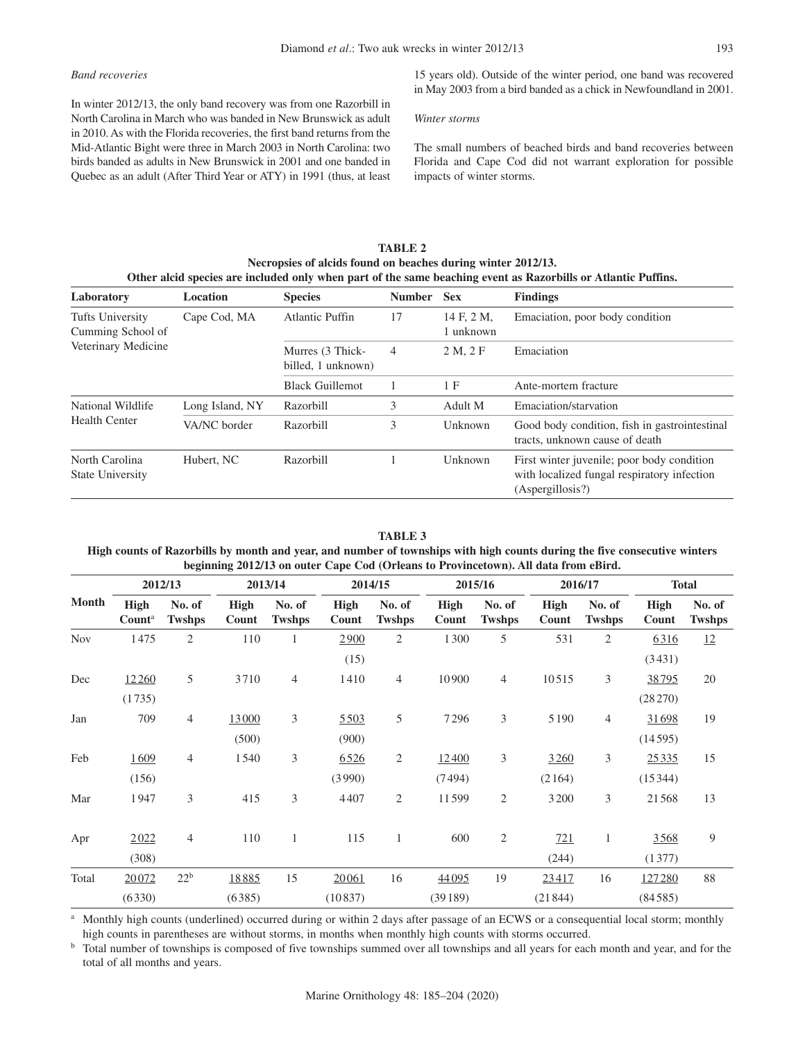# *Band recoveries*

In winter 2012/13, the only band recovery was from one Razorbill in North Carolina in March who was banded in New Brunswick as adult in 2010. As with the Florida recoveries, the first band returns from the Mid-Atlantic Bight were three in March 2003 in North Carolina: two birds banded as adults in New Brunswick in 2001 and one banded in Quebec as an adult (After Third Year or ATY) in 1991 (thus, at least

15 years old). Outside of the winter period, one band was recovered in May 2003 from a bird banded as a chick in Newfoundland in 2001.

### *Winter storms*

The small numbers of beached birds and band recoveries between Florida and Cape Cod did not warrant exploration for possible impacts of winter storms.

| TABLE 2                                                                                                       |
|---------------------------------------------------------------------------------------------------------------|
| Necropsies of alcids found on beaches during winter 2012/13.                                                  |
| Other alcid species are included only when part of the same beaching event as Razorbills or Atlantic Puffins. |

| Laboratory                                | Location        | <b>Species</b>                         | <b>Number</b>               | <b>Sex</b>            | <b>Findings</b>                                                                                               |
|-------------------------------------------|-----------------|----------------------------------------|-----------------------------|-----------------------|---------------------------------------------------------------------------------------------------------------|
| Tufts University<br>Cumming School of     | Cape Cod, MA    | Atlantic Puffin                        | 17                          | 14 F, 2 M,<br>unknown | Emaciation, poor body condition                                                                               |
| Veterinary Medicine                       |                 | Murres (3 Thick-<br>billed, 1 unknown) | 4                           | 2 M, 2 F              | Emaciation                                                                                                    |
|                                           |                 | <b>Black Guillemot</b>                 | 1 F<br>Ante-mortem fracture |                       |                                                                                                               |
| National Wildlife                         | Long Island, NY | Razorbill                              | 3                           | Adult M               | Emaciation/starvation                                                                                         |
| <b>Health Center</b>                      | VA/NC border    | Razorbill                              | 3                           | Unknown               | Good body condition, fish in gastrointestinal<br>tracts, unknown cause of death                               |
| North Carolina<br><b>State University</b> | Hubert, NC      | Razorbill                              |                             | Unknown               | First winter juvenile; poor body condition<br>with localized fungal respiratory infection<br>(Aspergillosis?) |

# **TABLE 3**

### **High counts of Razorbills by month and year, and number of townships with high counts during the five consecutive winters beginning 2012/13 on outer Cape Cod (Orleans to Provincetown). All data from eBird.**

|              |                                   | 2012/13                 |                      | 2013/14                 |                      | 2014/15                 |                      | 2015/16                 |                      | 2016/17                 |                      | <b>Total</b>            |
|--------------|-----------------------------------|-------------------------|----------------------|-------------------------|----------------------|-------------------------|----------------------|-------------------------|----------------------|-------------------------|----------------------|-------------------------|
| <b>Month</b> | <b>High</b><br>Count <sup>a</sup> | No. of<br><b>Twshps</b> | <b>High</b><br>Count | No. of<br><b>Twshps</b> | <b>High</b><br>Count | No. of<br><b>Twshps</b> | <b>High</b><br>Count | No. of<br><b>Twshps</b> | <b>High</b><br>Count | No. of<br><b>Twshps</b> | <b>High</b><br>Count | No. of<br><b>Twshps</b> |
| <b>Nov</b>   | 1475                              | $\overline{2}$          | 110                  | 1                       | 2900                 | $\overline{2}$          | 1300                 | 5                       | 531                  | 2                       | 6316                 | 12                      |
|              |                                   |                         |                      |                         | (15)                 |                         |                      |                         |                      |                         | (3431)               |                         |
| Dec          | 12260                             | 5                       | 3710                 | $\overline{4}$          | 1410                 | 4                       | 10900                | $\overline{4}$          | 10515                | 3                       | 38795                | 20                      |
|              | (1735)                            |                         |                      |                         |                      |                         |                      |                         |                      |                         | $(28\,270)$          |                         |
| Jan          | 709                               | $\overline{4}$          | 13000                | 3                       | 5503                 | 5                       | 7296                 | 3                       | 5190                 | $\overline{4}$          | 31698                | 19                      |
|              |                                   |                         | (500)                |                         | (900)                |                         |                      |                         |                      |                         | (14595)              |                         |
| Feb          | 1609                              | $\overline{4}$          | 1540                 | 3                       | 6526                 | $\overline{2}$          | 12400                | 3                       | 3260                 | 3                       | 25335                | 15                      |
|              | (156)                             |                         |                      |                         | (3990)               |                         | (7494)               |                         | (2164)               |                         | (15344)              |                         |
| Mar          | 1947                              | 3                       | 415                  | 3                       | 4407                 | $\overline{2}$          | 11599                | $\overline{2}$          | 3200                 | 3                       | 21568                | 13                      |
|              |                                   |                         |                      |                         |                      |                         |                      |                         |                      |                         |                      |                         |
| Apr          | 2022                              | $\overline{4}$          | 110                  | $\mathbf{1}$            | 115                  | $\mathbf{1}$            | 600                  | $\mathfrak{2}$          | 721                  | 1                       | 3568                 | 9                       |
|              | (308)                             |                         |                      |                         |                      |                         |                      |                         | (244)                |                         | (1377)               |                         |
| Total        | 20072                             | 22 <sup>b</sup>         | 18885                | 15                      | 20061                | 16                      | 44095                | 19                      | 23417                | 16                      | 127280               | 88                      |
|              | (6330)                            |                         | (6385)               |                         | (10837)              |                         | (39189)              |                         | (21844)              |                         | (84585)              |                         |

<sup>a</sup> Monthly high counts (underlined) occurred during or within 2 days after passage of an ECWS or a consequential local storm; monthly high counts in parentheses are without storms, in months when monthly high counts with storms occurred.

<sup>b</sup> Total number of townships is composed of five townships summed over all townships and all years for each month and year, and for the total of all months and years.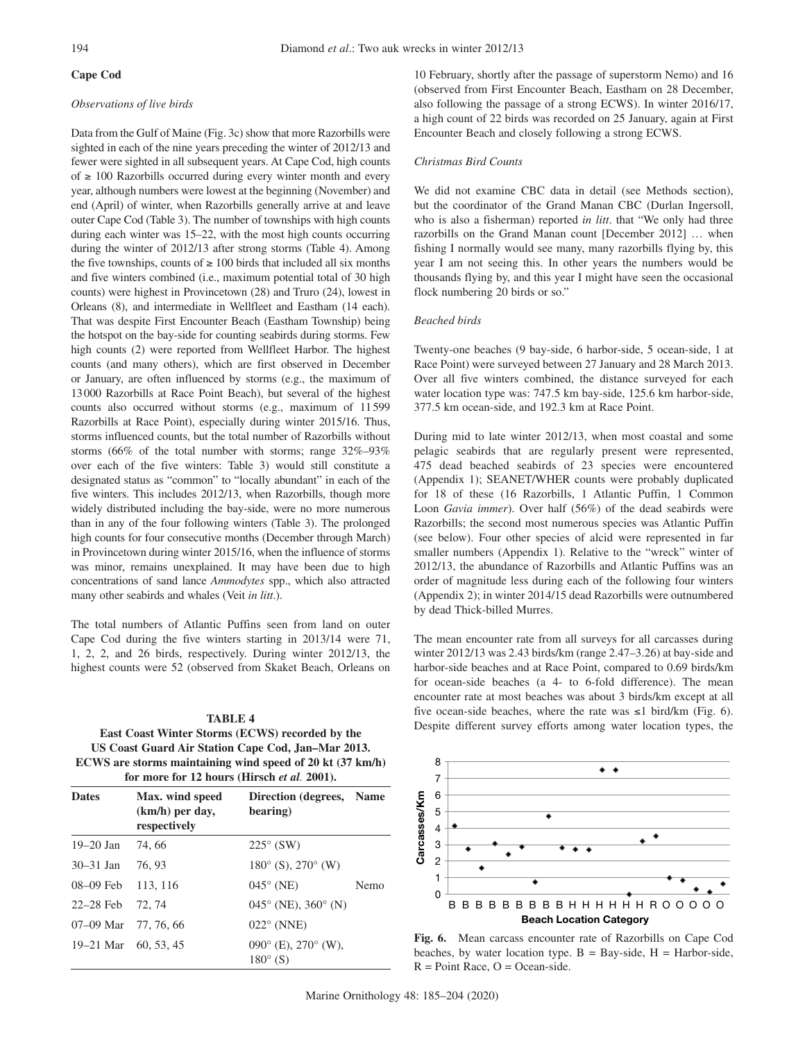# **Cape Cod**

## *Observations of live birds*

Data from the Gulf of Maine (Fig. 3c) show that more Razorbills were sighted in each of the nine years preceding the winter of 2012/13 and fewer were sighted in all subsequent years. At Cape Cod, high counts of  $≥ 100$  Razorbills occurred during every winter month and every year, although numbers were lowest at the beginning (November) and end (April) of winter, when Razorbills generally arrive at and leave outer Cape Cod (Table 3). The number of townships with high counts during each winter was 15–22, with the most high counts occurring during the winter of 2012/13 after strong storms (Table 4). Among the five townships, counts of  $\geq 100$  birds that included all six months and five winters combined (i.e., maximum potential total of 30 high counts) were highest in Provincetown (28) and Truro (24), lowest in Orleans (8), and intermediate in Wellfleet and Eastham (14 each). That was despite First Encounter Beach (Eastham Township) being the hotspot on the bay-side for counting seabirds during storms. Few high counts (2) were reported from Wellfleet Harbor. The highest counts (and many others), which are first observed in December or January, are often influenced by storms (e.g., the maximum of 13000 Razorbills at Race Point Beach), but several of the highest counts also occurred without storms (e.g., maximum of 11599 Razorbills at Race Point), especially during winter 2015/16. Thus, storms influenced counts, but the total number of Razorbills without storms (66% of the total number with storms; range 32%–93% over each of the five winters: Table 3) would still constitute a designated status as "common" to "locally abundant" in each of the five winters. This includes 2012/13, when Razorbills, though more widely distributed including the bay-side, were no more numerous than in any of the four following winters (Table 3). The prolonged high counts for four consecutive months (December through March) in Provincetown during winter 2015/16, when the influence of storms was minor, remains unexplained. It may have been due to high concentrations of sand lance *Ammodytes* spp., which also attracted many other seabirds and whales (Veit *in litt*.).

The total numbers of Atlantic Puffins seen from land on outer Cape Cod during the five winters starting in 2013/14 were 71, 1, 2, 2, and 26 birds, respectively. During winter 2012/13, the highest counts were 52 (observed from Skaket Beach, Orleans on

# **TABLE 4 East Coast Winter Storms (ECWS) recorded by the US Coast Guard Air Station Cape Cod, Jan–Mar 2013. ECWS are storms maintaining wind speed of 20 kt (37 km/h) for more for 12 hours (Hirsch** *et al.* **2001).**

| <b>Dates</b>         | Max. wind speed<br>$(km/h)$ per day,<br>respectively | Direction (degrees, Name<br>bearing)                     |      |
|----------------------|------------------------------------------------------|----------------------------------------------------------|------|
| $19 - 20$ Jan        | 74, 66                                               | $225^\circ$ (SW)                                         |      |
| $30 - 31$ Jan        | 76, 93                                               | $180^{\circ}$ (S), $270^{\circ}$ (W)                     |      |
| 08–09 Feb            | 113, 116                                             | $045^\circ$ (NE)                                         | Nemo |
| $22-28$ Feb          | 72.74                                                | $045^{\circ}$ (NE), $360^{\circ}$ (N)                    |      |
| 07-09 Mar 77, 76, 66 |                                                      | $022^{\circ}$ (NNE)                                      |      |
| 19–21 Mar 60, 53, 45 |                                                      | $090^{\circ}$ (E), $270^{\circ}$ (W),<br>$180^\circ$ (S) |      |

10 February, shortly after the passage of superstorm Nemo) and 16 (observed from First Encounter Beach, Eastham on 28 December, also following the passage of a strong ECWS). In winter 2016/17, a high count of 22 birds was recorded on 25 January, again at First Encounter Beach and closely following a strong ECWS.

### *Christmas Bird Counts*

We did not examine CBC data in detail (see Methods section), but the coordinator of the Grand Manan CBC (Durlan Ingersoll, who is also a fisherman) reported *in litt*. that "We only had three razorbills on the Grand Manan count [December 2012] … when fishing I normally would see many, many razorbills flying by, this year I am not seeing this. In other years the numbers would be thousands flying by, and this year I might have seen the occasional flock numbering 20 birds or so."

### *Beached birds*

Twenty-one beaches (9 bay-side, 6 harbor-side, 5 ocean-side, 1 at Race Point) were surveyed between 27 January and 28 March 2013. Over all five winters combined, the distance surveyed for each water location type was: 747.5 km bay-side, 125.6 km harbor-side, 377.5 km ocean-side, and 192.3 km at Race Point.

During mid to late winter 2012/13, when most coastal and some pelagic seabirds that are regularly present were represented, 475 dead beached seabirds of 23 species were encountered (Appendix 1); SEANET/WHER counts were probably duplicated for 18 of these (16 Razorbills, 1 Atlantic Puffin, 1 Common Loon *Gavia immer*). Over half (56%) of the dead seabirds were Razorbills; the second most numerous species was Atlantic Puffin (see below). Four other species of alcid were represented in far smaller numbers (Appendix 1). Relative to the "wreck" winter of 2012/13, the abundance of Razorbills and Atlantic Puffins was an order of magnitude less during each of the following four winters (Appendix 2); in winter 2014/15 dead Razorbills were outnumbered by dead Thick-billed Murres.

The mean encounter rate from all surveys for all carcasses during winter 2012/13 was 2.43 birds/km (range 2.47–3.26) at bay-side and harbor-side beaches and at Race Point, compared to 0.69 birds/km for ocean-side beaches (a 4- to 6-fold difference). The mean encounter rate at most beaches was about 3 birds/km except at all five ocean-side beaches, where the rate was  $\leq 1$  bird/km (Fig. 6). Despite different survey efforts among water location types, the



**Fig. 6.** Mean carcass encounter rate of Razorbills on Cape Cod beaches, by water location type.  $B = Bay-side$ ,  $H = Harbor-side$ ,  $R = Point$  Race,  $O = Ocean-side$ .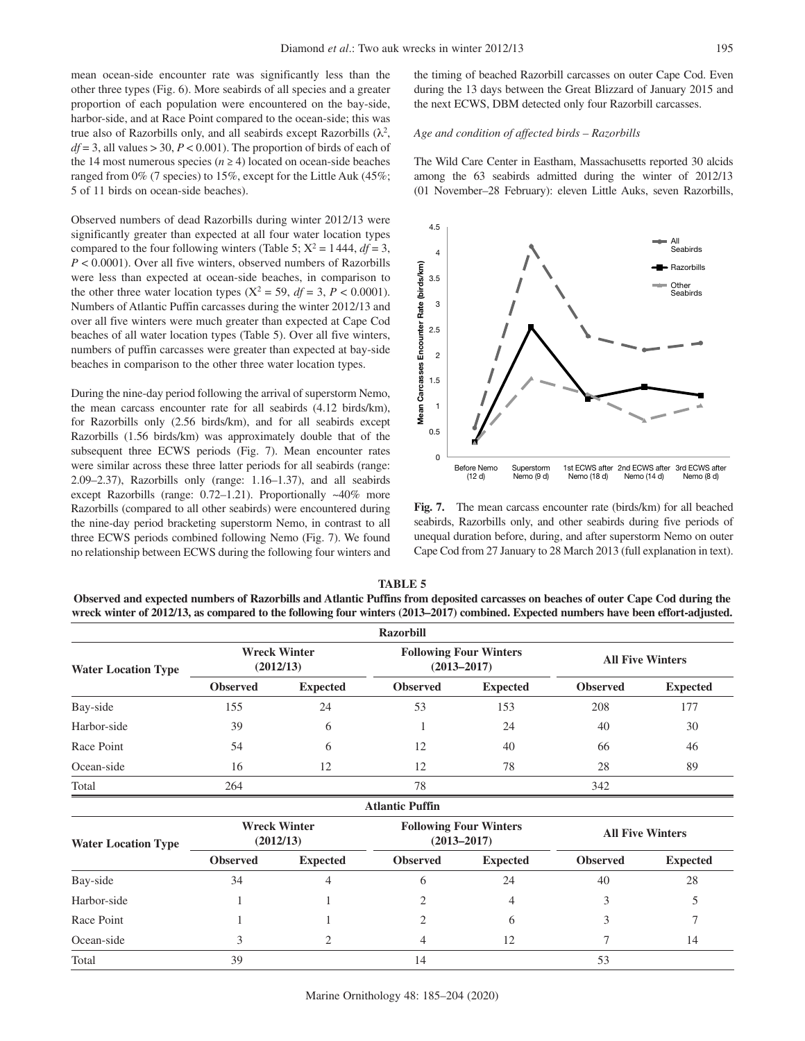mean ocean-side encounter rate was significantly less than the other three types (Fig. 6). More seabirds of all species and a greater proportion of each population were encountered on the bay-side, harbor-side, and at Race Point compared to the ocean-side; this was true also of Razorbills only, and all seabirds except Razorbills  $(\lambda^2,$  $df = 3$ , all values  $> 30$ ,  $P < 0.001$ ). The proportion of birds of each of the 14 most numerous species ( $n \ge 4$ ) located on ocean-side beaches ranged from 0% (7 species) to 15%, except for the Little Auk (45%; 5 of 11 birds on ocean-side beaches).

Observed numbers of dead Razorbills during winter 2012/13 were significantly greater than expected at all four water location types compared to the four following winters (Table 5;  $X^2 = 1444$ ,  $df = 3$ , *P* < 0.0001). Over all five winters, observed numbers of Razorbills were less than expected at ocean-side beaches, in comparison to the other three water location types ( $X^2 = 59$ ,  $df = 3$ ,  $P < 0.0001$ ). Numbers of Atlantic Puffin carcasses during the winter 2012/13 and over all five winters were much greater than expected at Cape Cod beaches of all water location types (Table 5). Over all five winters, numbers of puffin carcasses were greater than expected at bay-side beaches in comparison to the other three water location types.

During the nine-day period following the arrival of superstorm Nemo, the mean carcass encounter rate for all seabirds (4.12 birds/km), for Razorbills only (2.56 birds/km), and for all seabirds except Razorbills (1.56 birds/km) was approximately double that of the subsequent three ECWS periods (Fig. 7). Mean encounter rates were similar across these three latter periods for all seabirds (range: 2.09–2.37), Razorbills only (range: 1.16–1.37), and all seabirds except Razorbills (range: 0.72–1.21). Proportionally ~40% more Razorbills (compared to all other seabirds) were encountered during the nine-day period bracketing superstorm Nemo, in contrast to all three ECWS periods combined following Nemo (Fig. 7). We found no relationship between ECWS during the following four winters and the timing of beached Razorbill carcasses on outer Cape Cod. Even during the 13 days between the Great Blizzard of January 2015 and the next ECWS, DBM detected only four Razorbill carcasses.

#### *Age and condition of affected birds – Razorbills*

The Wild Care Center in Eastham, Massachusetts reported 30 alcids among the 63 seabirds admitted during the winter of 2012/13 (01 November–28 February): eleven Little Auks, seven Razorbills,



**Fig. 7.** The mean carcass encounter rate (birds/km) for all beached seabirds, Razorbills only, and other seabirds during five periods of unequal duration before, during, and after superstorm Nemo on outer Cape Cod from 27 January to 28 March 2013 (full explanation in text).

| TABLE 5                                                                                                                              |
|--------------------------------------------------------------------------------------------------------------------------------------|
| Observed and expected numbers of Razorbills and Atlantic Puffins from deposited carcasses on beaches of outer Cape Cod during the    |
| wreck winter of 2012/13, as compared to the following four winters (2013–2017) combined. Expected numbers have been effort-adjusted. |

|                            |                 |                                  | <b>Razorbill</b>       |                                                  |                         |                 |  |
|----------------------------|-----------------|----------------------------------|------------------------|--------------------------------------------------|-------------------------|-----------------|--|
| <b>Water Location Type</b> |                 | <b>Wreck Winter</b><br>(2012/13) |                        | <b>Following Four Winters</b><br>$(2013 - 2017)$ | <b>All Five Winters</b> |                 |  |
|                            | <b>Observed</b> | <b>Expected</b>                  | <b>Observed</b>        | <b>Expected</b>                                  | <b>Observed</b>         | <b>Expected</b> |  |
| Bay-side                   | 155             | 24                               | 53                     | 153                                              | 208                     | 177             |  |
| Harbor-side                | 39              | 6                                |                        | 24                                               | 40                      | 30              |  |
| Race Point                 | 54              | 6                                | 12                     | 40                                               | 66                      | 46              |  |
| Ocean-side                 | 16              | 12                               | 12                     | 78                                               | 28                      | 89              |  |
| Total                      | 264             |                                  | 78                     |                                                  | 342                     |                 |  |
|                            |                 |                                  | <b>Atlantic Puffin</b> |                                                  |                         |                 |  |
| <b>Water Location Type</b> |                 | <b>Wreck Winter</b><br>(2012/13) |                        | <b>Following Four Winters</b><br>$(2013 - 2017)$ | <b>All Five Winters</b> |                 |  |
|                            | <b>Observed</b> | <b>Expected</b>                  | <b>Observed</b>        | <b>Expected</b>                                  | <b>Observed</b>         | <b>Expected</b> |  |
| Bay-side                   | 34              | 4                                | 6                      | 24                                               | 40                      | 28              |  |
| Harbor-side                |                 |                                  | 2                      | 4                                                | 3                       | 5               |  |
| Race Point                 |                 |                                  | $\overline{2}$         | 6                                                | 3                       | 7               |  |
| Ocean-side                 | 3               | 2                                | 4                      | 12                                               | 7                       | 14              |  |
| Total                      | 39              |                                  | 14                     |                                                  | 53                      |                 |  |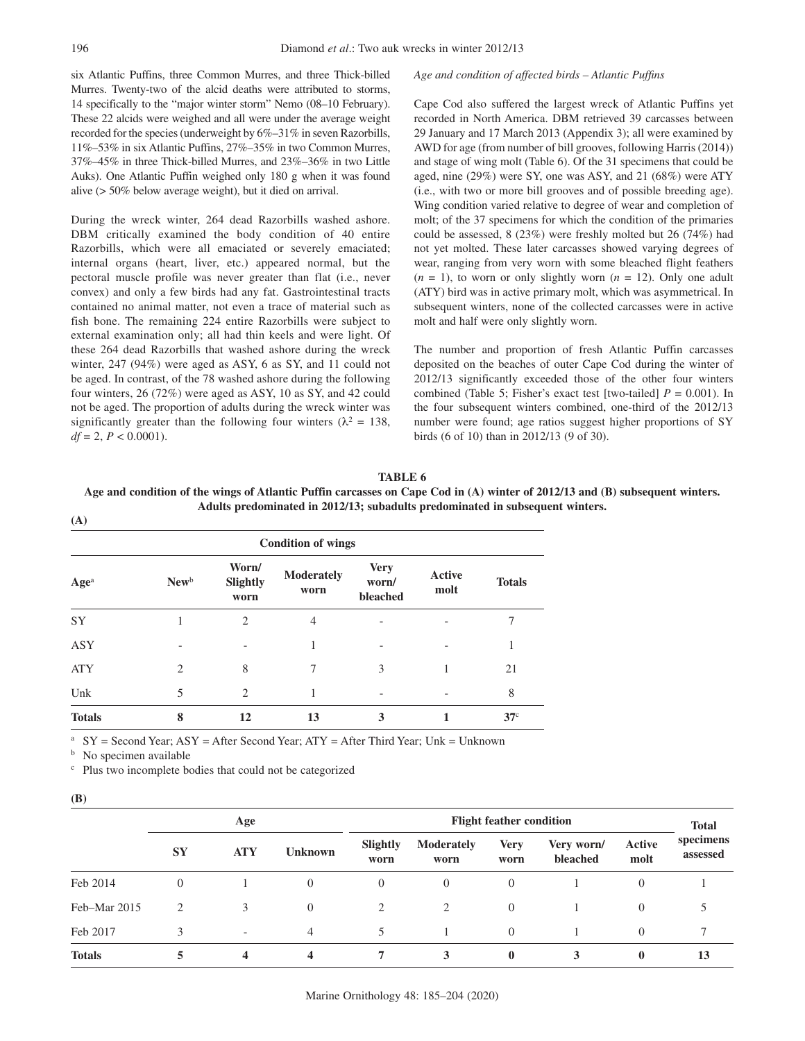six Atlantic Puffins, three Common Murres, and three Thick-billed Murres. Twenty-two of the alcid deaths were attributed to storms, 14 specifically to the "major winter storm" Nemo (08–10 February). These 22 alcids were weighed and all were under the average weight recorded for the species (underweight by 6%–31% in seven Razorbills, 11%–53% in six Atlantic Puffins, 27%–35% in two Common Murres, 37%–45% in three Thick-billed Murres, and 23%–36% in two Little Auks). One Atlantic Puffin weighed only 180 g when it was found alive (> 50% below average weight), but it died on arrival.

During the wreck winter, 264 dead Razorbills washed ashore. DBM critically examined the body condition of 40 entire Razorbills, which were all emaciated or severely emaciated; internal organs (heart, liver, etc.) appeared normal, but the pectoral muscle profile was never greater than flat (i.e., never convex) and only a few birds had any fat. Gastrointestinal tracts contained no animal matter, not even a trace of material such as fish bone. The remaining 224 entire Razorbills were subject to external examination only; all had thin keels and were light. Of these 264 dead Razorbills that washed ashore during the wreck winter, 247 (94%) were aged as ASY, 6 as SY, and 11 could not be aged. In contrast, of the 78 washed ashore during the following four winters, 26 (72%) were aged as ASY, 10 as SY, and 42 could not be aged. The proportion of adults during the wreck winter was significantly greater than the following four winters ( $\lambda^2 = 138$ ,  $df = 2, P < 0.0001$ .

#### *Age and condition of affected birds – Atlantic Puffins*

Cape Cod also suffered the largest wreck of Atlantic Puffins yet recorded in North America. DBM retrieved 39 carcasses between 29 January and 17 March 2013 (Appendix 3); all were examined by AWD for age (from number of bill grooves, following Harris (2014)) and stage of wing molt (Table 6). Of the 31 specimens that could be aged, nine (29%) were SY, one was ASY, and 21 (68%) were ATY (i.e., with two or more bill grooves and of possible breeding age). Wing condition varied relative to degree of wear and completion of molt; of the 37 specimens for which the condition of the primaries could be assessed, 8 (23%) were freshly molted but 26 (74%) had not yet molted. These later carcasses showed varying degrees of wear, ranging from very worn with some bleached flight feathers  $(n = 1)$ , to worn or only slightly worn  $(n = 12)$ . Only one adult (ATY) bird was in active primary molt, which was asymmetrical. In subsequent winters, none of the collected carcasses were in active molt and half were only slightly worn.

The number and proportion of fresh Atlantic Puffin carcasses deposited on the beaches of outer Cape Cod during the winter of 2012/13 significantly exceeded those of the other four winters combined (Table 5; Fisher's exact test [two-tailed]  $P = 0.001$ ). In the four subsequent winters combined, one-third of the 2012/13 number were found; age ratios suggest higher proportions of SY birds (6 of 10) than in 2012/13 (9 of 30).

| Age and condition of the wings of Atlantic Puffin carcasses on Cape Cod in (A) winter of 2012/13 and (B) subsequent winters. |
|------------------------------------------------------------------------------------------------------------------------------|
| Adults predominated in 2012/13; subadults predominated in subsequent winters.                                                |
| (A)                                                                                                                          |
|                                                                                                                              |

**TABLE 6**

| <b>Condition of wings</b> |                             |                           |                           |                                  |                |                 |  |  |  |
|---------------------------|-----------------------------|---------------------------|---------------------------|----------------------------------|----------------|-----------------|--|--|--|
| Age <sup>a</sup>          | New <sup>b</sup>            | Worn/<br>Slightly<br>worn | <b>Moderately</b><br>worn | <b>Very</b><br>worn/<br>bleached | Active<br>molt | <b>Totals</b>   |  |  |  |
| <b>SY</b>                 |                             | 2                         | 4                         |                                  |                | 7               |  |  |  |
| ASY                       |                             |                           | 1                         | $\overline{\phantom{0}}$         |                | 1               |  |  |  |
| <b>ATY</b>                | $\mathcal{D}_{\mathcal{L}}$ | 8                         | 7                         | 3                                |                | 21              |  |  |  |
| Unk                       | 5                           | 2                         |                           |                                  |                | 8               |  |  |  |
| <b>Totals</b>             | 8                           | 12                        | 13                        | 3                                |                | 37 <sup>c</sup> |  |  |  |

 $SY = Second Year$ ;  $ASY = After Second Year$ ;  $ATY = After Third Year$ ; Unk = Unknown

<sup>b</sup> No specimen available c Plus two incomplete bodies that could not be categorized

| I |
|---|
|   |

|               | Age       |                          |                | <b>Flight feather condition</b> |                           |                     |                        |                | <b>Total</b>          |
|---------------|-----------|--------------------------|----------------|---------------------------------|---------------------------|---------------------|------------------------|----------------|-----------------------|
|               | <b>SY</b> | <b>ATY</b>               | <b>Unknown</b> | Slightly<br>worn                | <b>Moderately</b><br>worn | <b>Very</b><br>worn | Very worn/<br>bleached | Active<br>molt | specimens<br>assessed |
| Feb 2014      | $\theta$  |                          | 0              | 0                               | $\theta$                  | $\Omega$            |                        | $\theta$       |                       |
| Feb-Mar 2015  | 2         | 3                        | $\Omega$       | 2                               | $\overline{2}$            | $\Omega$            |                        | $\theta$       |                       |
| Feb 2017      | 3         | $\overline{\phantom{a}}$ | 4              | 5.                              |                           | $\Omega$            |                        | $\theta$       |                       |
| <b>Totals</b> |           | 4                        | 4              |                                 | 3                         | $\mathbf{0}$        |                        | $\bf{0}$       | 13                    |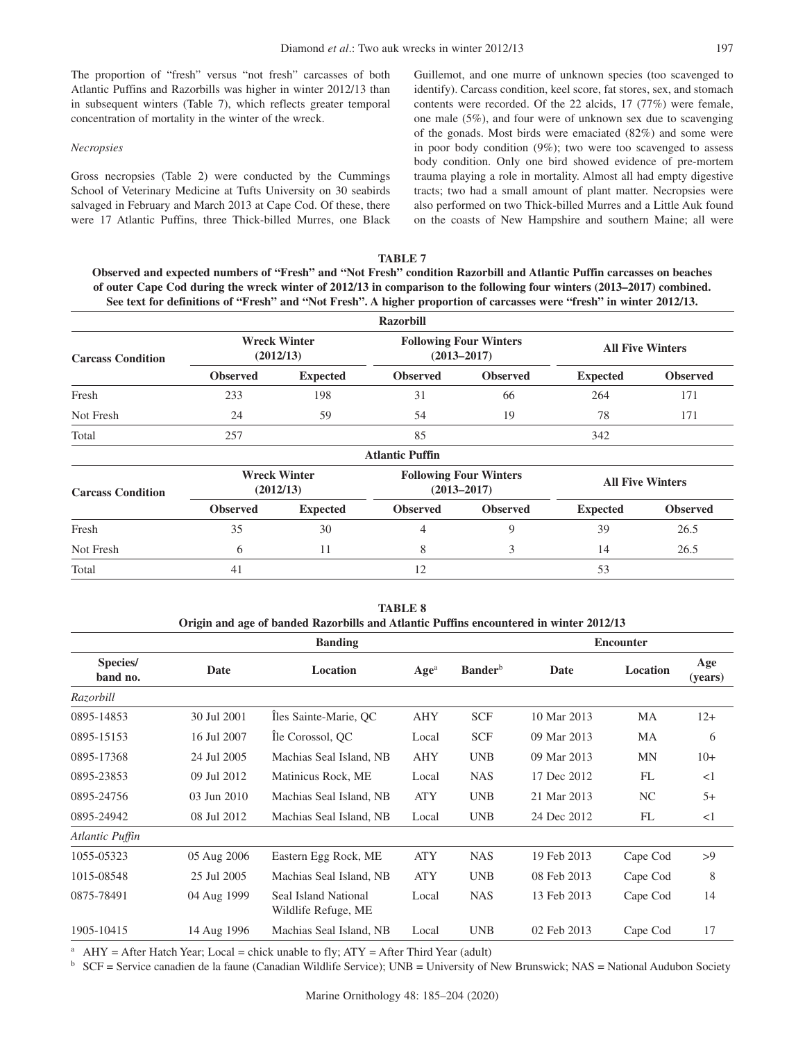The proportion of "fresh" versus "not fresh" carcasses of both Atlantic Puffins and Razorbills was higher in winter 2012/13 than in subsequent winters (Table 7), which reflects greater temporal concentration of mortality in the winter of the wreck.

#### *Necropsies*

Gross necropsies (Table 2) were conducted by the Cummings School of Veterinary Medicine at Tufts University on 30 seabirds salvaged in February and March 2013 at Cape Cod. Of these, there were 17 Atlantic Puffins, three Thick-billed Murres, one Black Guillemot, and one murre of unknown species (too scavenged to identify). Carcass condition, keel score, fat stores, sex, and stomach contents were recorded. Of the 22 alcids, 17 (77%) were female, one male (5%), and four were of unknown sex due to scavenging of the gonads. Most birds were emaciated (82%) and some were in poor body condition (9%); two were too scavenged to assess body condition. Only one bird showed evidence of pre-mortem trauma playing a role in mortality. Almost all had empty digestive tracts; two had a small amount of plant matter. Necropsies were also performed on two Thick-billed Murres and a Little Auk found on the coasts of New Hampshire and southern Maine; all were

**TABLE 7 Observed and expected numbers of "Fresh" and "Not Fresh" condition Razorbill and Atlantic Puffin carcasses on beaches of outer Cape Cod during the wreck winter of 2012/13 in comparison to the following four winters (2013–2017) combined. See text for definitions of "Fresh" and "Not Fresh". A higher proportion of carcasses were "fresh" in winter 2012/13.**

|                          |                 |                                  | <b>Razorbill</b>       |                                                  |                         |                 |  |
|--------------------------|-----------------|----------------------------------|------------------------|--------------------------------------------------|-------------------------|-----------------|--|
| <b>Carcass Condition</b> |                 | <b>Wreck Winter</b><br>(2012/13) |                        | <b>Following Four Winters</b><br>$(2013 - 2017)$ | <b>All Five Winters</b> |                 |  |
|                          | <b>Observed</b> | <b>Expected</b>                  | <b>Observed</b>        | <b>Observed</b>                                  | <b>Expected</b>         | <b>Observed</b> |  |
| Fresh                    | 233             | 198                              | 31                     | 66                                               | 264                     | 171             |  |
| Not Fresh                | 24              | 59                               | 54                     | 19                                               | 78                      | 171             |  |
| Total                    | 257             |                                  | 85                     |                                                  | 342                     |                 |  |
|                          |                 |                                  | <b>Atlantic Puffin</b> |                                                  |                         |                 |  |
| <b>Carcass Condition</b> |                 | <b>Wreck Winter</b><br>(2012/13) |                        | <b>Following Four Winters</b><br>$(2013 - 2017)$ | <b>All Five Winters</b> |                 |  |
|                          | <b>Observed</b> | <b>Expected</b>                  | <b>Observed</b>        | <b>Observed</b>                                  | <b>Expected</b>         | <b>Observed</b> |  |
| Fresh                    | 35              | 30                               | 4                      | 9                                                | 39                      | 26.5            |  |
| Not Fresh                | 6               | 11                               | 8                      | 3                                                | 14                      | 26.5            |  |
| Total                    | 41              |                                  | 12                     |                                                  | 53                      |                 |  |

**TABLE 8 Origin and age of banded Razorbills and Atlantic Puffins encountered in winter 2012/13**

|                      |                  | <b>Banding</b>                              |                          | <b>Encounter</b>           |             |           |                |
|----------------------|------------------|---------------------------------------------|--------------------------|----------------------------|-------------|-----------|----------------|
| Species/<br>band no. | Date<br>Location |                                             | Age <sup>a</sup>         | <b>Bander</b> <sup>b</sup> | Date        | Location  | Age<br>(years) |
| Razorbill            |                  |                                             |                          |                            |             |           |                |
| 0895-14853           | 30 Jul 2001      | Îles Sainte-Marie, OC                       | <b>SCF</b><br><b>AHY</b> |                            | 10 Mar 2013 | MA        | $12+$          |
| 0895-15153           | 16 Jul 2007      | The Corossol, QC                            | Local                    | <b>SCF</b>                 | 09 Mar 2013 | MA        | 6              |
| 0895-17368           | 24 Jul 2005      | Machias Seal Island, NB                     | <b>AHY</b>               | <b>UNB</b>                 | 09 Mar 2013 | <b>MN</b> | $10+$          |
| 0895-23853           | 09 Jul 2012      | Matinicus Rock, ME                          | Local                    | <b>NAS</b>                 | 17 Dec 2012 | FL        | <1             |
| 0895-24756           | 03 Jun 2010      | Machias Seal Island, NB                     | <b>ATY</b>               | <b>UNB</b>                 | 21 Mar 2013 | NC.       | $5+$           |
| 0895-24942           | 08 Jul 2012      | Machias Seal Island, NB<br>Local            |                          | <b>UNB</b>                 | 24 Dec 2012 | FL        | <1             |
| Atlantic Puffin      |                  |                                             |                          |                            |             |           |                |
| 1055-05323           | 05 Aug 2006      | Eastern Egg Rock, ME                        | <b>ATY</b>               | <b>NAS</b>                 | 19 Feb 2013 | Cape Cod  | >9             |
| 1015-08548           | 25 Jul 2005      | Machias Seal Island, NB                     | <b>ATY</b>               | <b>UNB</b>                 | 08 Feb 2013 | Cape Cod  | 8              |
| 0875-78491           | 04 Aug 1999      | Seal Island National<br>Wildlife Refuge, ME | Local                    | <b>NAS</b>                 | 13 Feb 2013 | Cape Cod  | 14             |
| 1905-10415           | 14 Aug 1996      | Machias Seal Island, NB                     | Local                    | <b>UNB</b>                 | 02 Feb 2013 | Cape Cod  | 17             |

<sup>a</sup> AHY = After Hatch Year; Local = chick unable to fly;  $ATY =$  After Third Year (adult)

 $<sup>b</sup>$  SCF = Service canadien de la faune (Canadian Wildlife Service); UNB = University of New Brunswick; NAS = National Audubon Society</sup>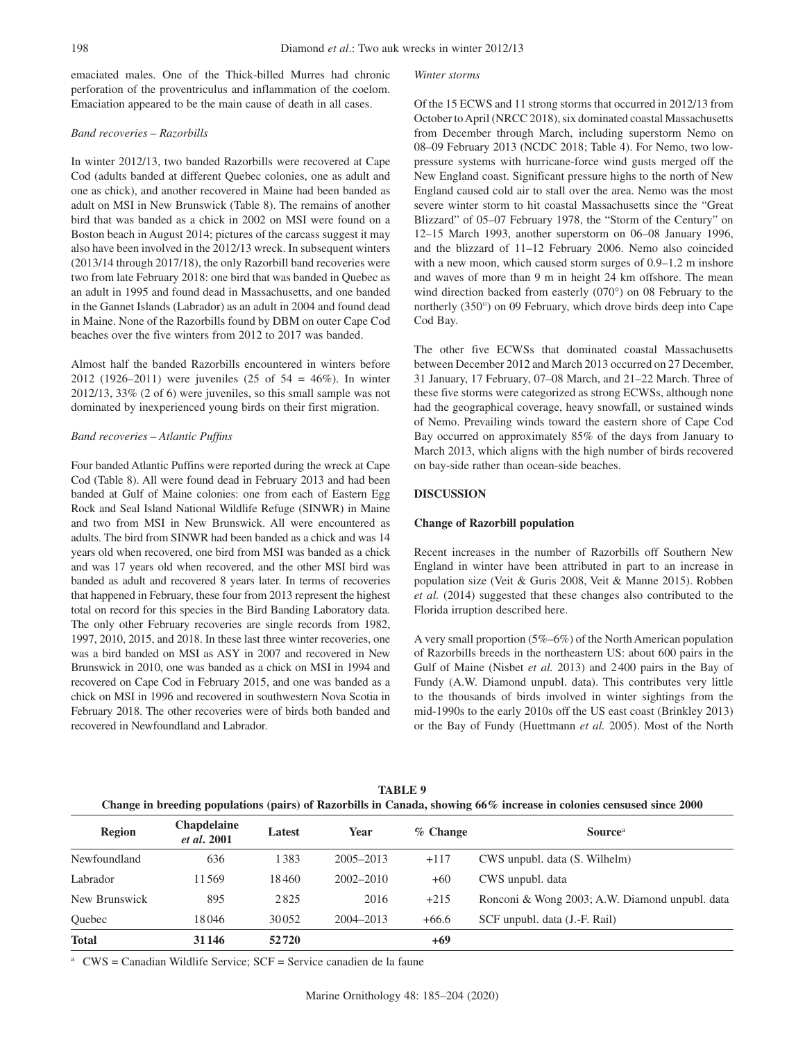emaciated males. One of the Thick-billed Murres had chronic perforation of the proventriculus and inflammation of the coelom. Emaciation appeared to be the main cause of death in all cases.

### *Band recoveries – Razorbills*

In winter 2012/13, two banded Razorbills were recovered at Cape Cod (adults banded at different Quebec colonies, one as adult and one as chick), and another recovered in Maine had been banded as adult on MSI in New Brunswick (Table 8). The remains of another bird that was banded as a chick in 2002 on MSI were found on a Boston beach in August 2014; pictures of the carcass suggest it may also have been involved in the 2012/13 wreck. In subsequent winters (2013/14 through 2017/18), the only Razorbill band recoveries were two from late February 2018: one bird that was banded in Quebec as an adult in 1995 and found dead in Massachusetts, and one banded in the Gannet Islands (Labrador) as an adult in 2004 and found dead in Maine. None of the Razorbills found by DBM on outer Cape Cod beaches over the five winters from 2012 to 2017 was banded.

Almost half the banded Razorbills encountered in winters before 2012 (1926–2011) were juveniles (25 of 54 = 46%). In winter 2012/13, 33% (2 of 6) were juveniles, so this small sample was not dominated by inexperienced young birds on their first migration.

### *Band recoveries – Atlantic Puffins*

Four banded Atlantic Puffins were reported during the wreck at Cape Cod (Table 8). All were found dead in February 2013 and had been banded at Gulf of Maine colonies: one from each of Eastern Egg Rock and Seal Island National Wildlife Refuge (SINWR) in Maine and two from MSI in New Brunswick. All were encountered as adults. The bird from SINWR had been banded as a chick and was 14 years old when recovered, one bird from MSI was banded as a chick and was 17 years old when recovered, and the other MSI bird was banded as adult and recovered 8 years later. In terms of recoveries that happened in February, these four from 2013 represent the highest total on record for this species in the Bird Banding Laboratory data. The only other February recoveries are single records from 1982, 1997, 2010, 2015, and 2018. In these last three winter recoveries, one was a bird banded on MSI as ASY in 2007 and recovered in New Brunswick in 2010, one was banded as a chick on MSI in 1994 and recovered on Cape Cod in February 2015, and one was banded as a chick on MSI in 1996 and recovered in southwestern Nova Scotia in February 2018. The other recoveries were of birds both banded and recovered in Newfoundland and Labrador.

#### *Winter storms*

Of the 15 ECWS and 11 strong storms that occurred in 2012/13 from October to April (NRCC 2018), six dominated coastal Massachusetts from December through March, including superstorm Nemo on 08–09 February 2013 (NCDC 2018; Table 4). For Nemo, two lowpressure systems with hurricane-force wind gusts merged off the New England coast. Significant pressure highs to the north of New England caused cold air to stall over the area. Nemo was the most severe winter storm to hit coastal Massachusetts since the "Great Blizzard" of 05–07 February 1978, the "Storm of the Century" on 12–15 March 1993, another superstorm on 06–08 January 1996, and the blizzard of 11–12 February 2006. Nemo also coincided with a new moon, which caused storm surges of  $0.9-1.2$  m inshore and waves of more than 9 m in height 24 km offshore. The mean wind direction backed from easterly (070°) on 08 February to the northerly (350°) on 09 February, which drove birds deep into Cape Cod Bay.

The other five ECWSs that dominated coastal Massachusetts between December 2012 and March 2013 occurred on 27 December, 31 January, 17 February, 07–08 March, and 21–22 March. Three of these five storms were categorized as strong ECWSs, although none had the geographical coverage, heavy snowfall, or sustained winds of Nemo. Prevailing winds toward the eastern shore of Cape Cod Bay occurred on approximately 85% of the days from January to March 2013, which aligns with the high number of birds recovered on bay-side rather than ocean-side beaches.

## **DISCUSSION**

### **Change of Razorbill population**

Recent increases in the number of Razorbills off Southern New England in winter have been attributed in part to an increase in population size (Veit & Guris 2008, Veit & Manne 2015). Robben *et al.* (2014) suggested that these changes also contributed to the Florida irruption described here.

A very small proportion (5%–6%) of the North American population of Razorbills breeds in the northeastern US: about 600 pairs in the Gulf of Maine (Nisbet *et al.* 2013) and 2400 pairs in the Bay of Fundy (A.W. Diamond unpubl. data). This contributes very little to the thousands of birds involved in winter sightings from the mid-1990s to the early 2010s off the US east coast (Brinkley 2013) or the Bay of Fundy (Huettmann *et al.* 2005). Most of the North

| <b>TABLE 9</b>                                                                                                          |
|-------------------------------------------------------------------------------------------------------------------------|
| Change in breeding populations (pairs) of Razorbills in Canada, showing $66\%$ increase in colonies censused since 2000 |

| <b>Region</b> | <b>Chapdelaine</b><br><i>et al.</i> 2001 | Latest | Year          | $%$ Change | Source <sup>a</sup>                            |  |
|---------------|------------------------------------------|--------|---------------|------------|------------------------------------------------|--|
| Newfoundland  | 636                                      | 1383   | $2005 - 2013$ | $+117$     | CWS unpubl. data (S. Wilhelm)                  |  |
| Labrador      | 11569                                    | 18460  | $2002 - 2010$ | $+60$      | CWS unpubl. data                               |  |
| New Brunswick | 895                                      | 2825   | 2016          | $+215$     | Ronconi & Wong 2003; A.W. Diamond unpubl. data |  |
| Ouebec        | 18046                                    | 30052  | 2004-2013     | $+66.6$    | SCF unpubl. data (J.-F. Rail)                  |  |
| <b>Total</b>  | 31146                                    | 52720  |               | +69        |                                                |  |

<sup>a</sup>  $CWS =$ Canadian Wildlife Service;  $SCF =$  Service canadien de la faune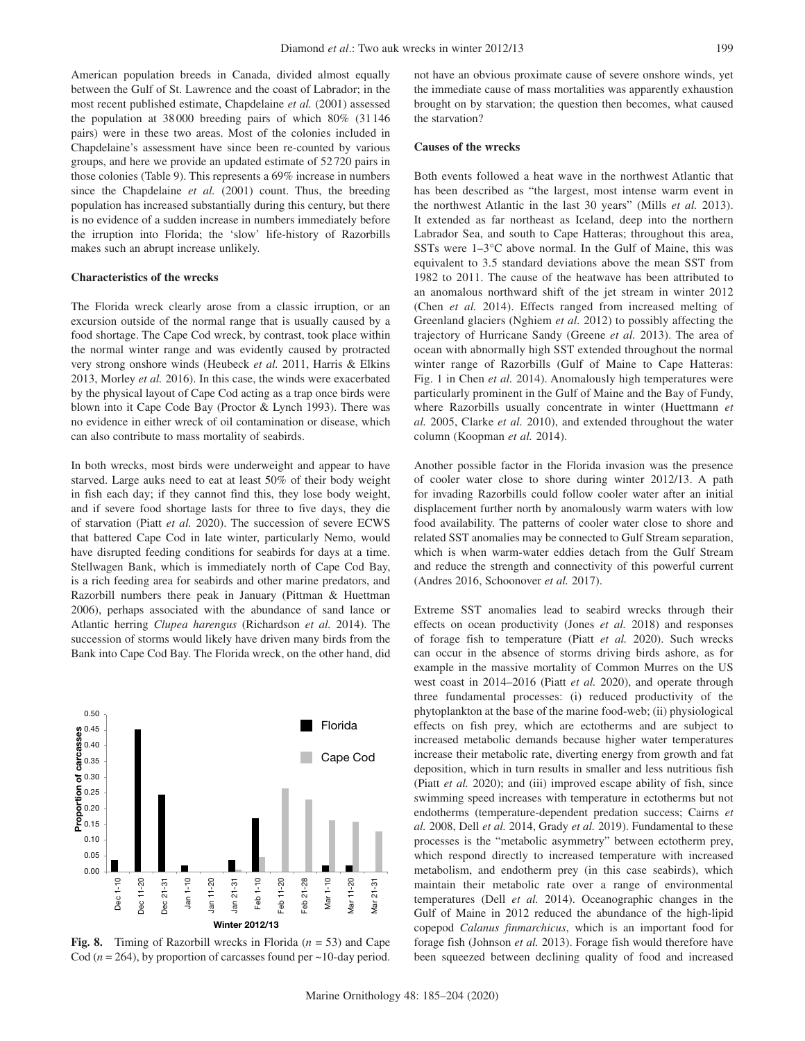American population breeds in Canada, divided almost equally between the Gulf of St. Lawrence and the coast of Labrador; in the most recent published estimate, Chapdelaine *et al.* (2001) assessed the population at 38000 breeding pairs of which 80% (31146 pairs) were in these two areas. Most of the colonies included in Chapdelaine's assessment have since been re-counted by various groups, and here we provide an updated estimate of 52720 pairs in those colonies (Table 9). This represents a 69% increase in numbers since the Chapdelaine *et al.* (2001) count. Thus, the breeding population has increased substantially during this century, but there is no evidence of a sudden increase in numbers immediately before the irruption into Florida; the 'slow' life-history of Razorbills makes such an abrupt increase unlikely.

#### **Characteristics of the wrecks**

The Florida wreck clearly arose from a classic irruption, or an excursion outside of the normal range that is usually caused by a food shortage. The Cape Cod wreck, by contrast, took place within the normal winter range and was evidently caused by protracted very strong onshore winds (Heubeck *et al.* 2011, Harris & Elkins 2013, Morley *et al.* 2016). In this case, the winds were exacerbated by the physical layout of Cape Cod acting as a trap once birds were blown into it Cape Code Bay (Proctor & Lynch 1993). There was no evidence in either wreck of oil contamination or disease, which can also contribute to mass mortality of seabirds.

In both wrecks, most birds were underweight and appear to have starved. Large auks need to eat at least 50% of their body weight in fish each day; if they cannot find this, they lose body weight, and if severe food shortage lasts for three to five days, they die of starvation (Piatt *et al.* 2020). The succession of severe ECWS that battered Cape Cod in late winter, particularly Nemo, would have disrupted feeding conditions for seabirds for days at a time. Stellwagen Bank, which is immediately north of Cape Cod Bay, is a rich feeding area for seabirds and other marine predators, and Razorbill numbers there peak in January (Pittman & Huettman 2006), perhaps associated with the abundance of sand lance or Atlantic herring *Clupea harengus* (Richardson *et al.* 2014). The succession of storms would likely have driven many birds from the Bank into Cape Cod Bay. The Florida wreck, on the other hand, did



**Fig. 8.** Timing of Razorbill wrecks in Florida (*n* = 53) and Cape Cod ( $n = 264$ ), by proportion of carcasses found per  $\sim$ 10-day period.

not have an obvious proximate cause of severe onshore winds, yet the immediate cause of mass mortalities was apparently exhaustion brought on by starvation; the question then becomes, what caused the starvation?

# **Causes of the wrecks**

Both events followed a heat wave in the northwest Atlantic that has been described as "the largest, most intense warm event in the northwest Atlantic in the last 30 years" (Mills *et al.* 2013). It extended as far northeast as Iceland, deep into the northern Labrador Sea, and south to Cape Hatteras; throughout this area, SSTs were 1–3°C above normal. In the Gulf of Maine, this was equivalent to 3.5 standard deviations above the mean SST from 1982 to 2011. The cause of the heatwave has been attributed to an anomalous northward shift of the jet stream in winter 2012 (Chen *et al.* 2014). Effects ranged from increased melting of Greenland glaciers (Nghiem *et al.* 2012) to possibly affecting the trajectory of Hurricane Sandy (Greene *et al.* 2013). The area of ocean with abnormally high SST extended throughout the normal winter range of Razorbills (Gulf of Maine to Cape Hatteras: Fig. 1 in Chen *et al.* 2014). Anomalously high temperatures were particularly prominent in the Gulf of Maine and the Bay of Fundy, where Razorbills usually concentrate in winter (Huettmann *et al.* 2005, Clarke *et al.* 2010), and extended throughout the water column (Koopman *et al.* 2014).

Another possible factor in the Florida invasion was the presence of cooler water close to shore during winter 2012/13. A path for invading Razorbills could follow cooler water after an initial displacement further north by anomalously warm waters with low food availability. The patterns of cooler water close to shore and related SST anomalies may be connected to Gulf Stream separation, which is when warm-water eddies detach from the Gulf Stream and reduce the strength and connectivity of this powerful current (Andres 2016, Schoonover *et al.* 2017).

Extreme SST anomalies lead to seabird wrecks through their effects on ocean productivity (Jones *et al.* 2018) and responses of forage fish to temperature (Piatt *et al.* 2020). Such wrecks can occur in the absence of storms driving birds ashore, as for example in the massive mortality of Common Murres on the US west coast in 2014–2016 (Piatt *et al.* 2020), and operate through three fundamental processes: (i) reduced productivity of the phytoplankton at the base of the marine food-web; (ii) physiological effects on fish prey, which are ectotherms and are subject to increased metabolic demands because higher water temperatures increase their metabolic rate, diverting energy from growth and fat deposition, which in turn results in smaller and less nutritious fish (Piatt *et al.* 2020); and (iii) improved escape ability of fish, since swimming speed increases with temperature in ectotherms but not endotherms (temperature-dependent predation success; Cairns *et al.* 2008, Dell *et al.* 2014, Grady *et al.* 2019). Fundamental to these processes is the "metabolic asymmetry" between ectotherm prey, which respond directly to increased temperature with increased metabolism, and endotherm prey (in this case seabirds), which maintain their metabolic rate over a range of environmental temperatures (Dell *et al.* 2014). Oceanographic changes in the Gulf of Maine in 2012 reduced the abundance of the high-lipid copepod *Calanus finmarchicus*, which is an important food for forage fish (Johnson *et al.* 2013). Forage fish would therefore have been squeezed between declining quality of food and increased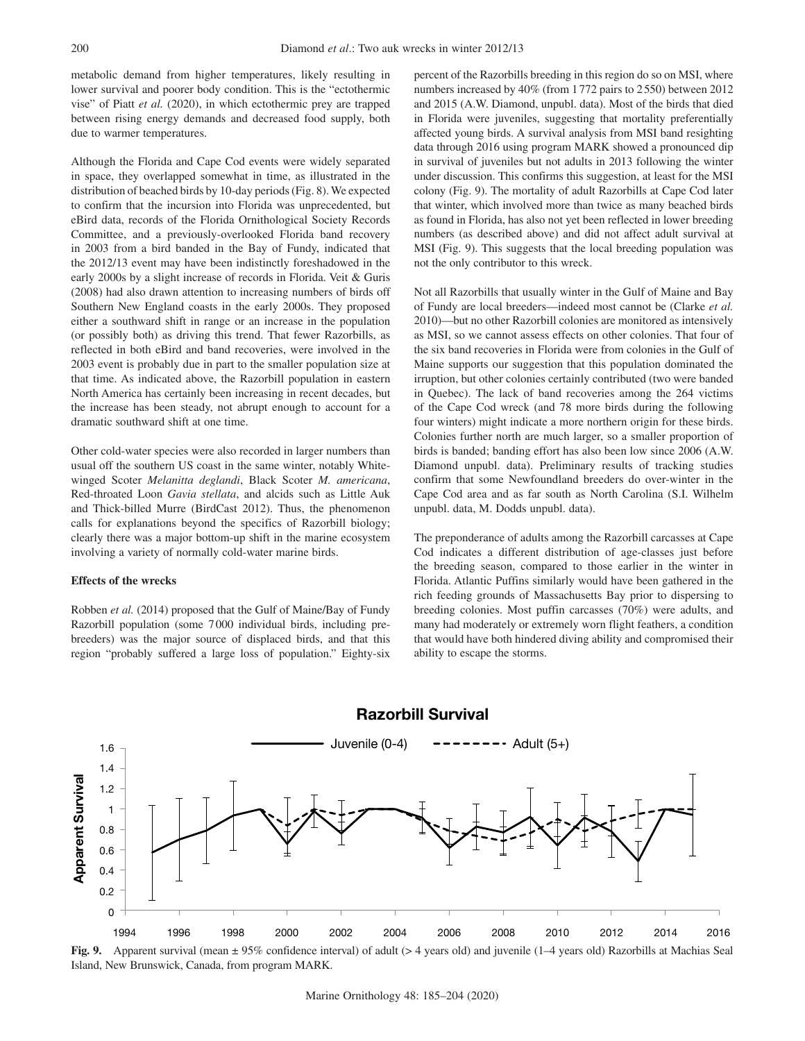metabolic demand from higher temperatures, likely resulting in lower survival and poorer body condition. This is the "ectothermic vise" of Piatt *et al.* (2020), in which ectothermic prey are trapped between rising energy demands and decreased food supply, both due to warmer temperatures.

Although the Florida and Cape Cod events were widely separated in space, they overlapped somewhat in time, as illustrated in the distribution of beached birds by 10-day periods (Fig. 8). We expected to confirm that the incursion into Florida was unprecedented, but eBird data, records of the Florida Ornithological Society Records Committee, and a previously-overlooked Florida band recovery in 2003 from a bird banded in the Bay of Fundy, indicated that the 2012/13 event may have been indistinctly foreshadowed in the early 2000s by a slight increase of records in Florida. Veit & Guris (2008) had also drawn attention to increasing numbers of birds off Southern New England coasts in the early 2000s. They proposed either a southward shift in range or an increase in the population (or possibly both) as driving this trend. That fewer Razorbills, as reflected in both eBird and band recoveries, were involved in the 2003 event is probably due in part to the smaller population size at that time. As indicated above, the Razorbill population in eastern North America has certainly been increasing in recent decades, but the increase has been steady, not abrupt enough to account for a dramatic southward shift at one time.

Other cold-water species were also recorded in larger numbers than usual off the southern US coast in the same winter, notably Whitewinged Scoter *Melanitta deglandi*, Black Scoter *M. americana*, Red-throated Loon *Gavia stellata*, and alcids such as Little Auk and Thick-billed Murre (BirdCast 2012). Thus, the phenomenon calls for explanations beyond the specifics of Razorbill biology; clearly there was a major bottom-up shift in the marine ecosystem involving a variety of normally cold-water marine birds.

# **Effects of the wrecks**

Robben *et al.* (2014) proposed that the Gulf of Maine/Bay of Fundy Razorbill population (some 7000 individual birds, including prebreeders) was the major source of displaced birds, and that this region "probably suffered a large loss of population." Eighty-six percent of the Razorbills breeding in this region do so on MSI, where numbers increased by 40% (from 1772 pairs to 2550) between 2012 and 2015 (A.W. Diamond, unpubl. data). Most of the birds that died in Florida were juveniles, suggesting that mortality preferentially affected young birds. A survival analysis from MSI band resighting data through 2016 using program MARK showed a pronounced dip in survival of juveniles but not adults in 2013 following the winter under discussion. This confirms this suggestion, at least for the MSI colony (Fig. 9). The mortality of adult Razorbills at Cape Cod later that winter, which involved more than twice as many beached birds as found in Florida, has also not yet been reflected in lower breeding numbers (as described above) and did not affect adult survival at MSI (Fig. 9). This suggests that the local breeding population was not the only contributor to this wreck.

Not all Razorbills that usually winter in the Gulf of Maine and Bay of Fundy are local breeders—indeed most cannot be (Clarke *et al.* 2010)—but no other Razorbill colonies are monitored as intensively as MSI, so we cannot assess effects on other colonies. That four of the six band recoveries in Florida were from colonies in the Gulf of Maine supports our suggestion that this population dominated the irruption, but other colonies certainly contributed (two were banded in Quebec). The lack of band recoveries among the 264 victims of the Cape Cod wreck (and 78 more birds during the following four winters) might indicate a more northern origin for these birds. Colonies further north are much larger, so a smaller proportion of birds is banded; banding effort has also been low since 2006 (A.W. Diamond unpubl. data). Preliminary results of tracking studies confirm that some Newfoundland breeders do over-winter in the Cape Cod area and as far south as North Carolina (S.I. Wilhelm unpubl. data, M. Dodds unpubl. data).

The preponderance of adults among the Razorbill carcasses at Cape Cod indicates a different distribution of age-classes just before the breeding season, compared to those earlier in the winter in Florida. Atlantic Puffins similarly would have been gathered in the rich feeding grounds of Massachusetts Bay prior to dispersing to breeding colonies. Most puffin carcasses (70%) were adults, and many had moderately or extremely worn flight feathers, a condition that would have both hindered diving ability and compromised their ability to escape the storms.

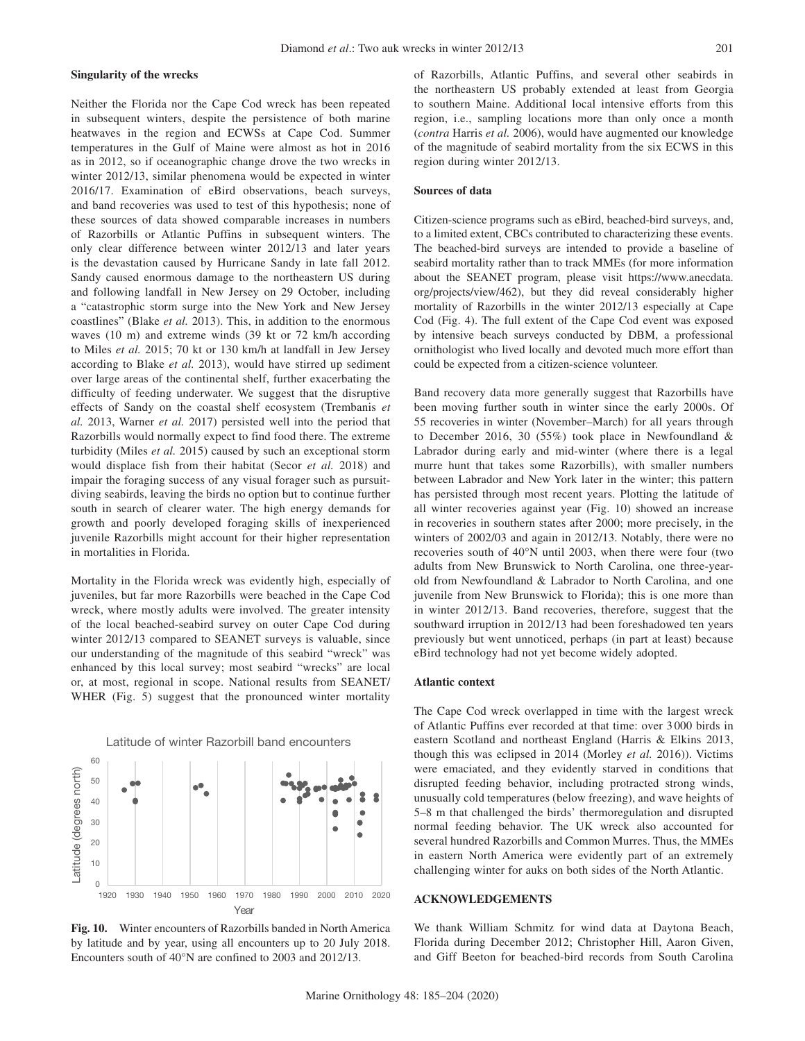### **Singularity of the wrecks**

Neither the Florida nor the Cape Cod wreck has been repeated in subsequent winters, despite the persistence of both marine heatwaves in the region and ECWSs at Cape Cod. Summer temperatures in the Gulf of Maine were almost as hot in 2016 as in 2012, so if oceanographic change drove the two wrecks in winter 2012/13, similar phenomena would be expected in winter 2016/17. Examination of eBird observations, beach surveys, and band recoveries was used to test of this hypothesis; none of these sources of data showed comparable increases in numbers of Razorbills or Atlantic Puffins in subsequent winters. The only clear difference between winter 2012/13 and later years is the devastation caused by Hurricane Sandy in late fall 2012. Sandy caused enormous damage to the northeastern US during and following landfall in New Jersey on 29 October, including a "catastrophic storm surge into the New York and New Jersey coastlines" (Blake *et al.* 2013). This, in addition to the enormous waves (10 m) and extreme winds (39 kt or 72 km/h according to Miles *et al.* 2015; 70 kt or 130 km/h at landfall in Jew Jersey according to Blake *et al.* 2013), would have stirred up sediment over large areas of the continental shelf, further exacerbating the difficulty of feeding underwater. We suggest that the disruptive effects of Sandy on the coastal shelf ecosystem (Trembanis *et al.* 2013, Warner *et al.* 2017) persisted well into the period that Razorbills would normally expect to find food there. The extreme turbidity (Miles *et al.* 2015) caused by such an exceptional storm would displace fish from their habitat (Secor *et al.* 2018) and impair the foraging success of any visual forager such as pursuitdiving seabirds, leaving the birds no option but to continue further south in search of clearer water. The high energy demands for growth and poorly developed foraging skills of inexperienced juvenile Razorbills might account for their higher representation in mortalities in Florida.

Mortality in the Florida wreck was evidently high, especially of juveniles, but far more Razorbills were beached in the Cape Cod wreck, where mostly adults were involved. The greater intensity of the local beached-seabird survey on outer Cape Cod during winter 2012/13 compared to SEANET surveys is valuable, since our understanding of the magnitude of this seabird "wreck" was enhanced by this local survey; most seabird "wrecks" are local or, at most, regional in scope. National results from SEANET/ WHER (Fig. 5) suggest that the pronounced winter mortality



**Fig. 10.** Winter encounters of Razorbills banded in North America by latitude and by year, using all encounters up to 20 July 2018. Encounters south of 40°N are confined to 2003 and 2012/13.

of Razorbills, Atlantic Puffins, and several other seabirds in the northeastern US probably extended at least from Georgia to southern Maine. Additional local intensive efforts from this region, i.e., sampling locations more than only once a month (*contra* Harris *et al.* 2006), would have augmented our knowledge of the magnitude of seabird mortality from the six ECWS in this region during winter 2012/13.

### **Sources of data**

Citizen-science programs such as eBird, beached-bird surveys, and, to a limited extent, CBCs contributed to characterizing these events. The beached-bird surveys are intended to provide a baseline of seabird mortality rather than to track MMEs (for more information about the SEANET program, please visit https://www.anecdata. org/projects/view/462), but they did reveal considerably higher mortality of Razorbills in the winter 2012/13 especially at Cape Cod (Fig. 4). The full extent of the Cape Cod event was exposed by intensive beach surveys conducted by DBM, a professional ornithologist who lived locally and devoted much more effort than could be expected from a citizen-science volunteer.

Band recovery data more generally suggest that Razorbills have been moving further south in winter since the early 2000s. Of 55 recoveries in winter (November–March) for all years through to December 2016, 30 (55%) took place in Newfoundland & Labrador during early and mid-winter (where there is a legal murre hunt that takes some Razorbills), with smaller numbers between Labrador and New York later in the winter; this pattern has persisted through most recent years. Plotting the latitude of all winter recoveries against year (Fig. 10) showed an increase in recoveries in southern states after 2000; more precisely, in the winters of 2002/03 and again in 2012/13. Notably, there were no recoveries south of 40°N until 2003, when there were four (two adults from New Brunswick to North Carolina, one three-yearold from Newfoundland & Labrador to North Carolina, and one juvenile from New Brunswick to Florida); this is one more than in winter 2012/13. Band recoveries, therefore, suggest that the southward irruption in 2012/13 had been foreshadowed ten years previously but went unnoticed, perhaps (in part at least) because eBird technology had not yet become widely adopted.

#### **Atlantic context**

The Cape Cod wreck overlapped in time with the largest wreck of Atlantic Puffins ever recorded at that time: over 3 000 birds in eastern Scotland and northeast England (Harris & Elkins 2013, though this was eclipsed in 2014 (Morley *et al.* 2016)). Victims were emaciated, and they evidently starved in conditions that disrupted feeding behavior, including protracted strong winds, unusually cold temperatures (below freezing), and wave heights of 5–8 m that challenged the birds' thermoregulation and disrupted normal feeding behavior. The UK wreck also accounted for several hundred Razorbills and Common Murres. Thus, the MMEs in eastern North America were evidently part of an extremely challenging winter for auks on both sides of the North Atlantic.

# **ACKNOWLEDGEMENTS**

We thank William Schmitz for wind data at Daytona Beach, Florida during December 2012; Christopher Hill, Aaron Given, and Giff Beeton for beached-bird records from South Carolina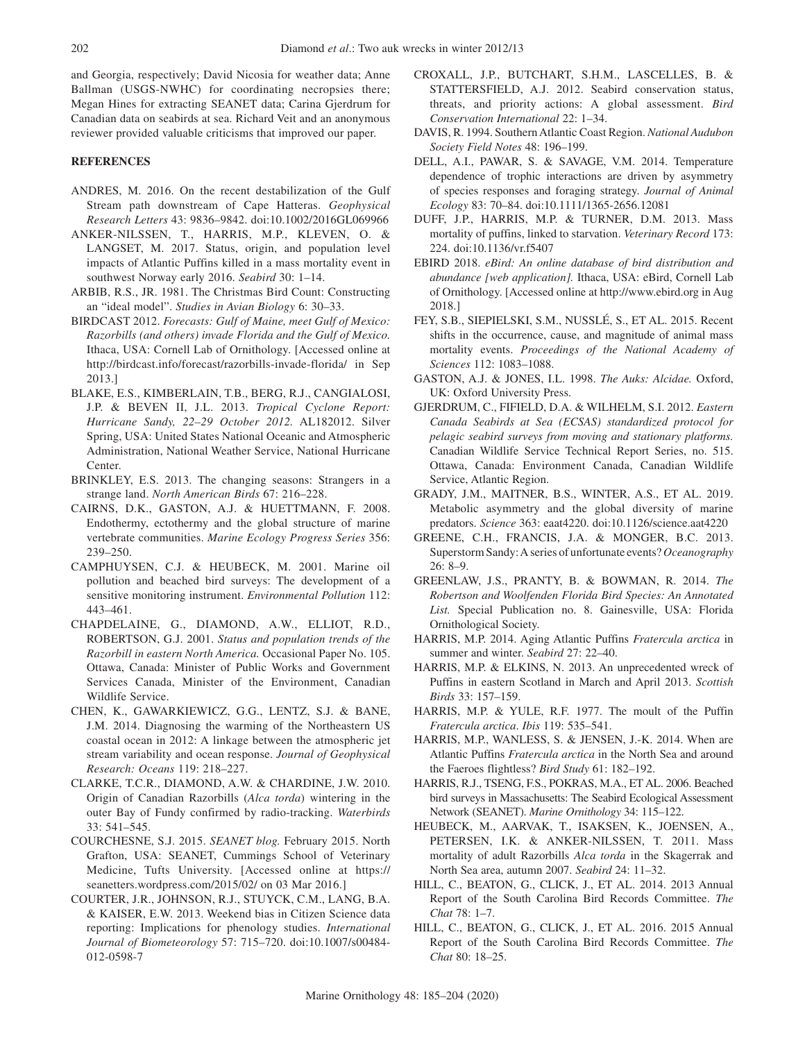and Georgia, respectively; David Nicosia for weather data; Anne Ballman (USGS-NWHC) for coordinating necropsies there; Megan Hines for extracting SEANET data; Carina Gjerdrum for Canadian data on seabirds at sea. Richard Veit and an anonymous reviewer provided valuable criticisms that improved our paper.

# **REFERENCES**

- ANDRES, M. 2016. On the recent destabilization of the Gulf Stream path downstream of Cape Hatteras. *Geophysical Research Letters* 43: 9836–9842. doi:10.1002/2016GL069966
- ANKER-NILSSEN, T., HARRIS, M.P., KLEVEN, O. & LANGSET, M. 2017. Status, origin, and population level impacts of Atlantic Puffins killed in a mass mortality event in southwest Norway early 2016. *Seabird* 30: 1–14.
- ARBIB, R.S., JR. 1981. The Christmas Bird Count: Constructing an "ideal model". *Studies in Avian Biology* 6: 30–33.
- BIRDCAST 2012. *Forecasts: Gulf of Maine, meet Gulf of Mexico: Razorbills (and others) invade Florida and the Gulf of Mexico.* Ithaca, USA: Cornell Lab of Ornithology. [Accessed online at http://birdcast.info/forecast/razorbills-invade-florida/ in Sep 2013.]
- BLAKE, E.S., KIMBERLAIN, T.B., BERG, R.J., CANGIALOSI, J.P. & BEVEN II, J.L. 2013. *Tropical Cyclone Report: Hurricane Sandy, 22–29 October 2012.* AL182012. Silver Spring, USA: United States National Oceanic and Atmospheric Administration, National Weather Service, National Hurricane Center.
- BRINKLEY, E.S. 2013. The changing seasons: Strangers in a strange land. *North American Birds* 67: 216–228.
- CAIRNS, D.K., GASTON, A.J. & HUETTMANN, F. 2008. Endothermy, ectothermy and the global structure of marine vertebrate communities. *Marine Ecology Progress Series* 356: 239–250.
- CAMPHUYSEN, C.J. & HEUBECK, M. 2001. Marine oil pollution and beached bird surveys: The development of a sensitive monitoring instrument. *Environmental Pollution* 112: 443–461.
- CHAPDELAINE, G., DIAMOND, A.W., ELLIOT, R.D., ROBERTSON, G.J. 2001. *Status and population trends of the Razorbill in eastern North America.* Occasional Paper No. 105. Ottawa, Canada: Minister of Public Works and Government Services Canada, Minister of the Environment, Canadian Wildlife Service.
- CHEN, K., GAWARKIEWICZ, G.G., LENTZ, S.J. & BANE, J.M. 2014. Diagnosing the warming of the Northeastern US coastal ocean in 2012: A linkage between the atmospheric jet stream variability and ocean response. *Journal of Geophysical Research: Oceans* 119: 218–227.
- CLARKE, T.C.R., DIAMOND, A.W. & CHARDINE, J.W. 2010. Origin of Canadian Razorbills (*Alca torda*) wintering in the outer Bay of Fundy confirmed by radio-tracking. *Waterbirds* 33: 541–545.
- COURCHESNE, S.J. 2015. *SEANET blog.* February 2015. North Grafton, USA: SEANET, Cummings School of Veterinary Medicine, Tufts University. [Accessed online at https:// seanetters.wordpress.com/2015/02/ on 03 Mar 2016.]
- COURTER, J.R., JOHNSON, R.J., STUYCK, C.M., LANG, B.A. & KAISER, E.W. 2013. Weekend bias in Citizen Science data reporting: Implications for phenology studies. *International Journal of Biometeorology* 57: 715–720. doi:10.1007/s00484- 012-0598-7
- CROXALL, J.P., BUTCHART, S.H.M., LASCELLES, B. & STATTERSFIELD, A.J. 2012. Seabird conservation status, threats, and priority actions: A global assessment. *Bird Conservation International* 22: 1–34.
- DAVIS, R. 1994. Southern Atlantic Coast Region. *National Audubon Society Field Notes* 48: 196–199.
- DELL, A.I., PAWAR, S. & SAVAGE, V.M. 2014. Temperature dependence of trophic interactions are driven by asymmetry of species responses and foraging strategy. *Journal of Animal Ecology* 83: 70–84. doi:10.1111/1365-2656.12081
- DUFF, J.P., HARRIS, M.P. & TURNER, D.M. 2013. Mass mortality of puffins, linked to starvation. *Veterinary Record* 173: 224. doi:10.1136/vr.f5407
- EBIRD 2018. *eBird: An online database of bird distribution and abundance [web application].* Ithaca, USA: eBird, Cornell Lab of Ornithology. [Accessed online at http://www.ebird.org in Aug 2018.]
- FEY, S.B., SIEPIELSKI, S.M., NUSSLÉ, S., ET AL. 2015. Recent shifts in the occurrence, cause, and magnitude of animal mass mortality events. *Proceedings of the National Academy of Sciences* 112: 1083–1088.
- GASTON, A.J. & JONES, I.L. 1998. *The Auks: Alcidae.* Oxford, UK: Oxford University Press.
- GJERDRUM, C., FIFIELD, D.A. & WILHELM, S.I. 2012. *Eastern Canada Seabirds at Sea (ECSAS) standardized protocol for pelagic seabird surveys from moving and stationary platforms.* Canadian Wildlife Service Technical Report Series, no. 515. Ottawa, Canada: Environment Canada, Canadian Wildlife Service, Atlantic Region.
- GRADY, J.M., MAITNER, B.S., WINTER, A.S., ET AL. 2019. Metabolic asymmetry and the global diversity of marine predators. *Science* 363: eaat4220. doi:10.1126/science.aat4220
- GREENE, C.H., FRANCIS, J.A. & MONGER, B.C. 2013. Superstorm Sandy: A series of unfortunate events? *Oceanography* 26: 8–9.
- GREENLAW, J.S., PRANTY, B. & BOWMAN, R. 2014. *The Robertson and Woolfenden Florida Bird Species: An Annotated List.* Special Publication no. 8. Gainesville, USA: Florida Ornithological Society.
- HARRIS, M.P. 2014. Aging Atlantic Puffins *Fratercula arctica* in summer and winter. *Seabird* 27: 22–40.
- HARRIS, M.P. & ELKINS, N. 2013. An unprecedented wreck of Puffins in eastern Scotland in March and April 2013. *Scottish Birds* 33: 157–159.
- HARRIS, M.P. & YULE, R.F. 1977. The moult of the Puffin *Fratercula arctica*. *Ibis* 119: 535–541.
- HARRIS, M.P., WANLESS, S. & JENSEN, J.-K. 2014. When are Atlantic Puffins *Fratercula arctica* in the North Sea and around the Faeroes flightless? *Bird Study* 61: 182–192.
- HARRIS, R.J., TSENG, F.S., POKRAS, M.A., ET AL. 2006. Beached bird surveys in Massachusetts: The Seabird Ecological Assessment Network (SEANET). *Marine Ornithology* 34: 115–122.
- HEUBECK, M., AARVAK, T., ISAKSEN, K., JOENSEN, A., PETERSEN, I.K. & ANKER-NILSSEN, T. 2011. Mass mortality of adult Razorbills *Alca torda* in the Skagerrak and North Sea area, autumn 2007. *Seabird* 24: 11–32.
- HILL, C., BEATON, G., CLICK, J., ET AL. 2014. 2013 Annual Report of the South Carolina Bird Records Committee. *The Chat* 78: 1–7.
- HILL, C., BEATON, G., CLICK, J., ET AL. 2016. 2015 Annual Report of the South Carolina Bird Records Committee. *The Chat* 80: 18–25.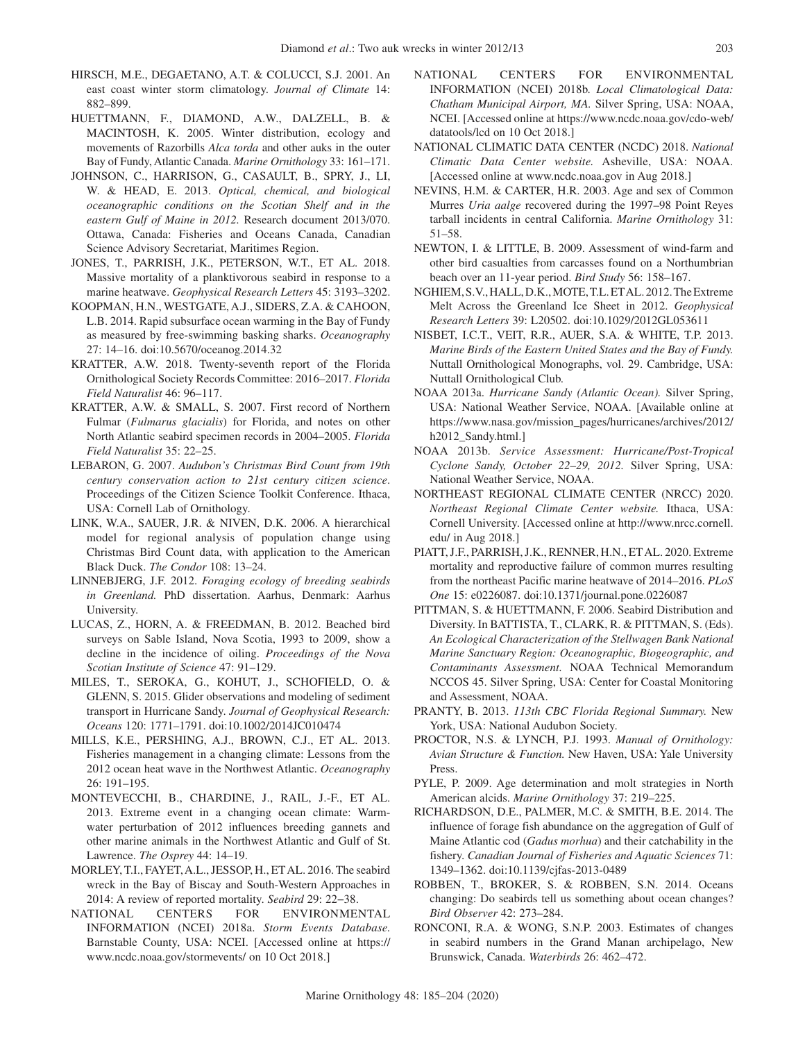- HIRSCH, M.E., DEGAETANO, A.T. & COLUCCI, S.J. 2001. An east coast winter storm climatology. *Journal of Climate* 14: 882–899.
- HUETTMANN, F., DIAMOND, A.W., DALZELL, B. & MACINTOSH, K. 2005. Winter distribution, ecology and movements of Razorbills *Alca torda* and other auks in the outer Bay of Fundy, Atlantic Canada. *Marine Ornithology* 33: 161–171.
- JOHNSON, C., HARRISON, G., CASAULT, B., SPRY, J., LI, W. & HEAD, E. 2013. *Optical, chemical, and biological oceanographic conditions on the Scotian Shelf and in the eastern Gulf of Maine in 2012.* Research document 2013/070. Ottawa, Canada: Fisheries and Oceans Canada, Canadian Science Advisory Secretariat, Maritimes Region.
- JONES, T., PARRISH, J.K., PETERSON, W.T., ET AL. 2018. Massive mortality of a planktivorous seabird in response to a marine heatwave. *Geophysical Research Letters* 45: 3193–3202.
- KOOPMAN, H.N., WESTGATE, A.J., SIDERS, Z.A. & CAHOON, L.B. 2014. Rapid subsurface ocean warming in the Bay of Fundy as measured by free-swimming basking sharks. *Oceanography* 27: 14–16. doi:10.5670/oceanog.2014.32
- KRATTER, A.W. 2018. Twenty-seventh report of the Florida Ornithological Society Records Committee: 2016–2017. *Florida Field Naturalist* 46: 96–117.
- KRATTER, A.W. & SMALL, S. 2007. First record of Northern Fulmar (*Fulmarus glacialis*) for Florida, and notes on other North Atlantic seabird specimen records in 2004–2005. *Florida Field Naturalist* 35: 22–25.
- LEBARON, G. 2007. *Audubon's Christmas Bird Count from 19th century conservation action to 21st century citizen science*. Proceedings of the Citizen Science Toolkit Conference. Ithaca, USA: Cornell Lab of Ornithology.
- LINK, W.A., SAUER, J.R. & NIVEN, D.K. 2006. A hierarchical model for regional analysis of population change using Christmas Bird Count data, with application to the American Black Duck. *The Condor* 108: 13–24.
- LINNEBJERG, J.F. 2012. *Foraging ecology of breeding seabirds in Greenland.* PhD dissertation. Aarhus, Denmark: Aarhus University.
- LUCAS, Z., HORN, A. & FREEDMAN, B. 2012. Beached bird surveys on Sable Island, Nova Scotia, 1993 to 2009, show a decline in the incidence of oiling. *Proceedings of the Nova Scotian Institute of Science* 47: 91–129.
- MILES, T., SEROKA, G., KOHUT, J., SCHOFIELD, O. & GLENN, S. 2015. Glider observations and modeling of sediment transport in Hurricane Sandy. *Journal of Geophysical Research: Oceans* 120: 1771–1791. doi:10.1002/2014JC010474
- MILLS, K.E., PERSHING, A.J., BROWN, C.J., ET AL. 2013. Fisheries management in a changing climate: Lessons from the 2012 ocean heat wave in the Northwest Atlantic. *Oceanography* 26: 191–195.
- MONTEVECCHI, B., CHARDINE, J., RAIL, J.-F., ET AL. 2013. Extreme event in a changing ocean climate: Warmwater perturbation of 2012 influences breeding gannets and other marine animals in the Northwest Atlantic and Gulf of St. Lawrence. *The Osprey* 44: 14–19.
- MORLEY, T.I., FAYET, A.L., JESSOP, H., ET AL. 2016. The seabird wreck in the Bay of Biscay and South-Western Approaches in 2014: A review of reported mortality. *Seabird* 29: 22−38.
- NATIONAL CENTERS FOR ENVIRONMENTAL INFORMATION (NCEI) 2018a. *Storm Events Database.*  Barnstable County, USA: NCEI. [Accessed online at https:// www.ncdc.noaa.gov/stormevents/ on 10 Oct 2018.]
- NATIONAL CENTERS FOR ENVIRONMENTAL INFORMATION (NCEI) 2018b. *Local Climatological Data: Chatham Municipal Airport, MA.* Silver Spring, USA: NOAA, NCEI. [Accessed online at https://www.ncdc.noaa.gov/cdo-web/ datatools/lcd on 10 Oct 2018.]
- NATIONAL CLIMATIC DATA CENTER (NCDC) 2018. *National Climatic Data Center website.* Asheville, USA: NOAA. [Accessed online at www.ncdc.noaa.gov in Aug 2018.]
- NEVINS, H.M. & CARTER, H.R. 2003. Age and sex of Common Murres *Uria aalge* recovered during the 1997–98 Point Reyes tarball incidents in central California. *Marine Ornithology* 31: 51–58.
- NEWTON, I. & LITTLE, B. 2009. Assessment of wind-farm and other bird casualties from carcasses found on a Northumbrian beach over an 11-year period. *Bird Study* 56: 158–167.
- NGHIEM, S.V., HALL, D.K., MOTE, T.L. ET AL. 2012. The Extreme Melt Across the Greenland Ice Sheet in 2012. *Geophysical Research Letters* 39: L20502. doi:10.1029/2012GL053611
- NISBET, I.C.T., VEIT, R.R., AUER, S.A. & WHITE, T.P. 2013. *Marine Birds of the Eastern United States and the Bay of Fundy.* Nuttall Ornithological Monographs, vol. 29. Cambridge, USA: Nuttall Ornithological Club.
- NOAA 2013a. *Hurricane Sandy (Atlantic Ocean).* Silver Spring, USA: National Weather Service, NOAA. [Available online at https://www.nasa.gov/mission\_pages/hurricanes/archives/2012/ h2012\_Sandy.html.]
- NOAA 2013b. *Service Assessment: Hurricane/Post-Tropical Cyclone Sandy, October 22–29, 2012.* Silver Spring, USA: National Weather Service, NOAA.
- NORTHEAST REGIONAL CLIMATE CENTER (NRCC) 2020. *Northeast Regional Climate Center website.* Ithaca, USA: Cornell University. [Accessed online at http://www.nrcc.cornell. edu/ in Aug 2018.]
- PIATT, J.F., PARRISH, J.K., RENNER, H.N., ET AL. 2020. Extreme mortality and reproductive failure of common murres resulting from the northeast Pacific marine heatwave of 2014–2016. *PLoS One* 15: e0226087. doi:10.1371/journal.pone.0226087
- PITTMAN, S. & HUETTMANN, F. 2006. Seabird Distribution and Diversity. In BATTISTA, T., CLARK, R. & PITTMAN, S. (Eds). *An Ecological Characterization of the Stellwagen Bank National Marine Sanctuary Region: Oceanographic, Biogeographic, and Contaminants Assessment.* NOAA Technical Memorandum NCCOS 45. Silver Spring, USA: Center for Coastal Monitoring and Assessment, NOAA.
- PRANTY, B. 2013. *113th CBC Florida Regional Summary.* New York, USA: National Audubon Society.
- PROCTOR, N.S. & LYNCH, P.J. 1993. *Manual of Ornithology: Avian Structure & Function.* New Haven, USA: Yale University Press.
- PYLE, P. 2009. Age determination and molt strategies in North American alcids. *Marine Ornithology* 37: 219–225.
- RICHARDSON, D.E., PALMER, M.C. & SMITH, B.E. 2014. The influence of forage fish abundance on the aggregation of Gulf of Maine Atlantic cod (*Gadus morhua*) and their catchability in the fishery. *Canadian Journal of Fisheries and Aquatic Sciences* 71: 1349–1362. doi:10.1139/cjfas-2013-0489
- ROBBEN, T., BROKER, S. & ROBBEN, S.N. 2014. Oceans changing: Do seabirds tell us something about ocean changes? *Bird Observer* 42: 273–284.
- RONCONI, R.A. & WONG, S.N.P. 2003. Estimates of changes in seabird numbers in the Grand Manan archipelago, New Brunswick, Canada. *Waterbirds* 26: 462–472.